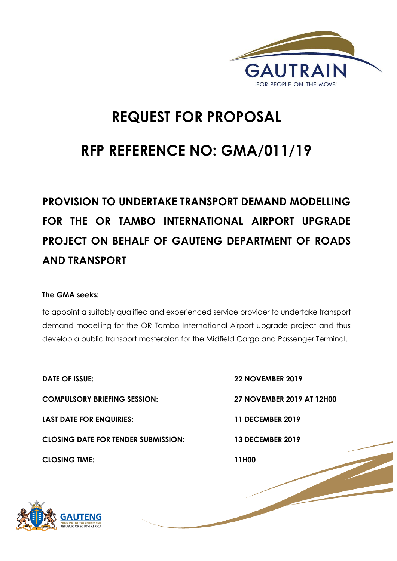

# **REQUEST FOR PROPOSAL**

# **RFP REFERENCE NO: GMA/011/19**

# **PROVISION TO UNDERTAKE TRANSPORT DEMAND MODELLING FOR THE OR TAMBO INTERNATIONAL AIRPORT UPGRADE PROJECT ON BEHALF OF GAUTENG DEPARTMENT OF ROADS AND TRANSPORT**

# **The GMA seeks:**

to appoint a suitably qualified and experienced service provider to undertake transport demand modelling for the OR Tambo International Airport upgrade project and thus develop a public transport masterplan for the Midfield Cargo and Passenger Terminal.

**DATE OF ISSUE: 22 NOVEMBER 2019 COMPULSORY BRIEFING SESSION: 27 NOVEMBER 2019 AT 12H00 LAST DATE FOR ENQUIRIES: 11 DECEMBER 2019 CLOSING DATE FOR TENDER SUBMISSION: 13 DECEMBER 2019 CLOSING TIME: 11H00** 

1 | P a g e

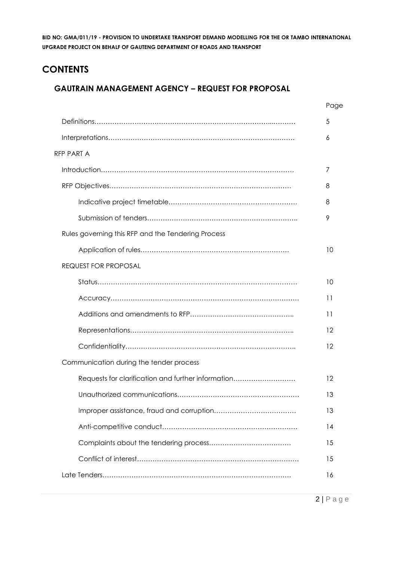# **CONTENTS**

# **GAUTRAIN MANAGEMENT AGENCY – REQUEST FOR PROPOSAL**

|                                                    | Page |
|----------------------------------------------------|------|
|                                                    | 5    |
|                                                    | 6    |
| RFP PART A                                         |      |
|                                                    | 7    |
|                                                    | 8    |
|                                                    | 8    |
|                                                    | 9    |
| Rules governing this RFP and the Tendering Process |      |
|                                                    | 10   |
| <b>REQUEST FOR PROPOSAL</b>                        |      |
|                                                    | 10   |
|                                                    | 11   |
|                                                    | 11   |
|                                                    | 12   |
|                                                    | 12   |
| Communication during the tender process            |      |
| Requests for clarification and further information | 12   |
|                                                    | 13   |
|                                                    | 13   |
|                                                    | 14   |
|                                                    | 15   |
|                                                    | 15   |
|                                                    | 16   |
|                                                    |      |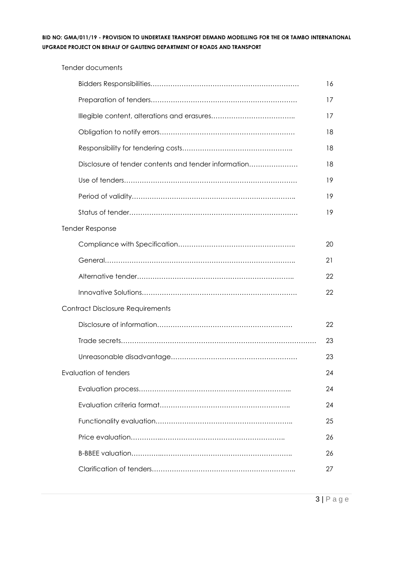Tender documents

|                                                      | 16 |
|------------------------------------------------------|----|
|                                                      | 17 |
|                                                      | 17 |
|                                                      | 18 |
|                                                      | 18 |
| Disclosure of tender contents and tender information | 18 |
|                                                      | 19 |
|                                                      | 19 |
|                                                      | 19 |
| <b>Tender Response</b>                               |    |
|                                                      | 20 |
|                                                      | 21 |
|                                                      | 22 |
|                                                      | 22 |
| <b>Contract Disclosure Requirements</b>              |    |
|                                                      | 22 |
|                                                      | 23 |
|                                                      | 23 |
| Evaluation of tenders                                | 24 |
|                                                      | 24 |
|                                                      | 24 |
|                                                      | 25 |
|                                                      | 26 |
|                                                      | 26 |
|                                                      | 27 |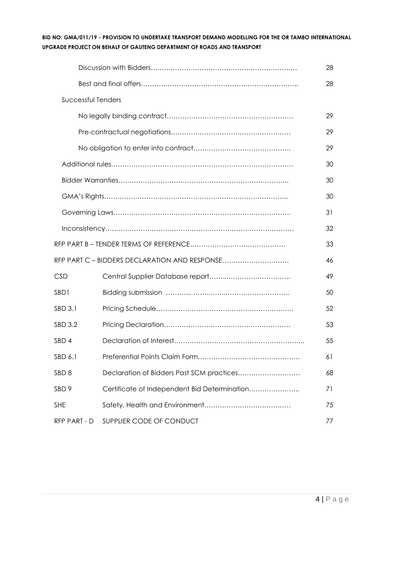|                    |                                               | 28 |
|--------------------|-----------------------------------------------|----|
|                    |                                               | 28 |
| Successful Tenders |                                               |    |
|                    |                                               | 29 |
|                    |                                               | 29 |
|                    |                                               | 29 |
|                    |                                               | 30 |
|                    |                                               | 30 |
|                    |                                               | 30 |
|                    |                                               | 31 |
|                    |                                               | 32 |
|                    |                                               | 33 |
|                    | RFP PART C - BIDDERS DECLARATION AND RESPONSE | 46 |
| <b>CSD</b>         |                                               | 49 |
| SBD1               |                                               | 50 |
| SBD 3.1            |                                               | 52 |
| SBD 3.2            |                                               | 53 |
| SBD <sub>4</sub>   |                                               | 55 |
| SBD 6.1            |                                               | 61 |
| SBD <sub>8</sub>   | Declaration of Bidders Past SCM practices     | 68 |
| SBD <sub>9</sub>   | Certificate of Independent Bid Determination  | 71 |
| <b>SHE</b>         |                                               | 75 |
| RFP PART - D       | SUPPLIER CODE OF CONDUCT                      | 77 |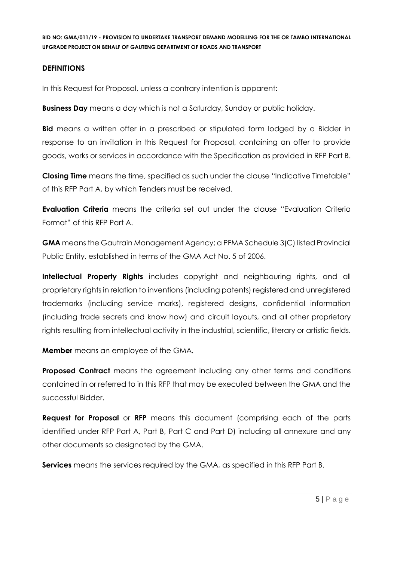# **DEFINITIONS**

In this Request for Proposal, unless a contrary intention is apparent:

**Business Day** means a day which is not a Saturday, Sunday or public holiday.

**Bid** means a written offer in a prescribed or stipulated form lodged by a Bidder in response to an invitation in this Request for Proposal, containing an offer to provide goods, works or services in accordance with the Specification as provided in RFP Part B.

**Closing Time** means the time, specified as such under the clause "Indicative Timetable" of this RFP Part A, by which Tenders must be received.

**Evaluation Criteria** means the criteria set out under the clause "Evaluation Criteria Format" of this RFP Part A.

**GMA** means the Gautrain Management Agency; a PFMA Schedule 3(C) listed Provincial Public Entity, established in terms of the GMA Act No. 5 of 2006.

**Intellectual Property Rights** includes copyright and neighbouring rights, and all proprietary rights in relation to inventions (including patents) registered and unregistered trademarks (including service marks), registered designs, confidential information (including trade secrets and know how) and circuit layouts, and all other proprietary rights resulting from intellectual activity in the industrial, scientific, literary or artistic fields.

**Member** means an employee of the GMA.

**Proposed Contract** means the agreement including any other terms and conditions contained in or referred to in this RFP that may be executed between the GMA and the successful Bidder.

**Request for Proposal** or **RFP** means this document (comprising each of the parts identified under RFP Part A, Part B, Part C and Part D) including all annexure and any other documents so designated by the GMA.

**Services** means the services required by the GMA, as specified in this RFP Part B.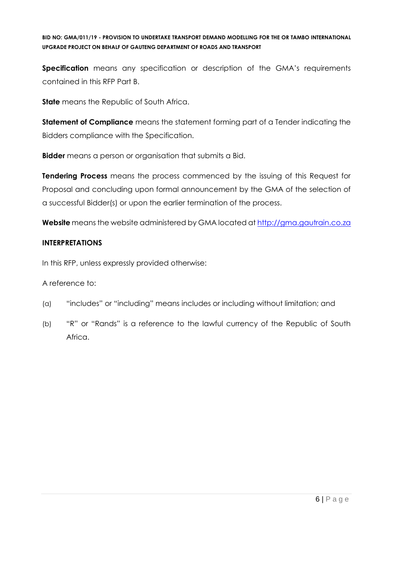**Specification** means any specification or description of the GMA's requirements contained in this RFP Part B.

**State** means the Republic of South Africa.

**Statement of Compliance** means the statement forming part of a Tender indicating the Bidders compliance with the Specification.

**Bidder** means a person or organisation that submits a Bid.

**Tendering Process** means the process commenced by the issuing of this Request for Proposal and concluding upon formal announcement by the GMA of the selection of a successful Bidder(s) or upon the earlier termination of the process.

**Website** means the website administered by GMA located at [http://gma.gautrain.co.za](http://gma.gautrain.co.za/)

# **INTERPRETATIONS**

In this RFP, unless expressly provided otherwise:

A reference to:

- (a) "includes" or "including" means includes or including without limitation; and
- (b) "R" or "Rands" is a reference to the lawful currency of the Republic of South Africa.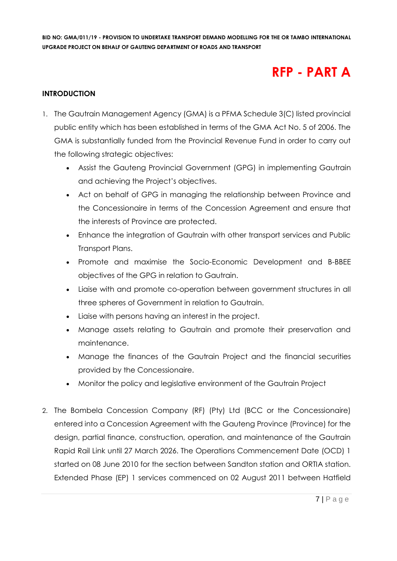# **RFP - PART A**

# **INTRODUCTION**

- 1. The Gautrain Management Agency (GMA) is a PFMA Schedule 3(C) listed provincial public entity which has been established in terms of the GMA Act No. 5 of 2006. The GMA is substantially funded from the Provincial Revenue Fund in order to carry out the following strategic objectives:
	- Assist the Gauteng Provincial Government (GPG) in implementing Gautrain and achieving the Project's objectives.
	- Act on behalf of GPG in managing the relationship between Province and the Concessionaire in terms of the Concession Agreement and ensure that the interests of Province are protected.
	- Enhance the integration of Gautrain with other transport services and Public Transport Plans.
	- Promote and maximise the Socio-Economic Development and B-BBEE objectives of the GPG in relation to Gautrain.
	- Liaise with and promote co-operation between government structures in all three spheres of Government in relation to Gautrain.
	- Liaise with persons having an interest in the project.
	- Manage assets relating to Gautrain and promote their preservation and maintenance.
	- Manage the finances of the Gautrain Project and the financial securities provided by the Concessionaire.
	- Monitor the policy and legislative environment of the Gautrain Project
- 2. The Bombela Concession Company (RF) (Pty) Ltd (BCC or the Concessionaire) entered into a Concession Agreement with the Gauteng Province (Province) for the design, partial finance, construction, operation, and maintenance of the Gautrain Rapid Rail Link until 27 March 2026. The Operations Commencement Date (OCD) 1 started on 08 June 2010 for the section between Sandton station and ORTIA station. Extended Phase (EP) 1 services commenced on 02 August 2011 between Hatfield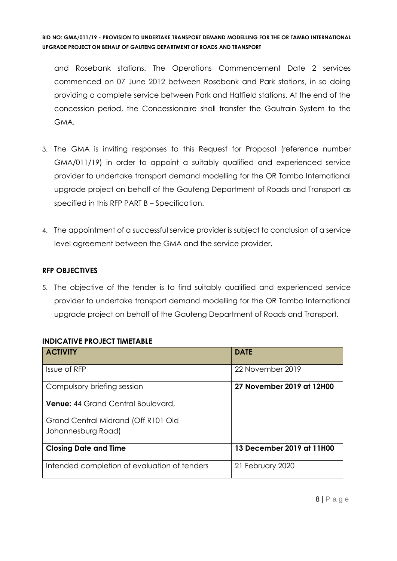and Rosebank stations. The Operations Commencement Date 2 services commenced on 07 June 2012 between Rosebank and Park stations, in so doing providing a complete service between Park and Hatfield stations. At the end of the concession period, the Concessionaire shall transfer the Gautrain System to the GMA.

- 3. The GMA is inviting responses to this Request for Proposal (reference number GMA/011/19) in order to appoint a suitably qualified and experienced service provider to undertake transport demand modelling for the OR Tambo International upgrade project on behalf of the Gauteng Department of Roads and Transport as specified in this RFP PART B – Specification.
- 4. The appointment of a successful service provider is subject to conclusion of a service level agreement between the GMA and the service provider.

# **RFP OBJECTIVES**

5. The objective of the tender is to find suitably qualified and experienced service provider to undertake transport demand modelling for the OR Tambo International upgrade project on behalf of the Gauteng Department of Roads and Transport.

#### **INDICATIVE PROJECT TIMETABLE**

| <b>ACTIVITY</b>                              | <b>DATE</b>               |
|----------------------------------------------|---------------------------|
| Issue of RFP                                 | 22 November 2019          |
| Compulsory briefing session                  | 27 November 2019 at 12H00 |
| <b>Venue: 44 Grand Central Boulevard,</b>    |                           |
| Grand Central Midrand (Off R101 Old          |                           |
| Johannesburg Road)                           |                           |
| <b>Closing Date and Time</b>                 | 13 December 2019 at 11H00 |
| Intended completion of evaluation of tenders | 21 February 2020          |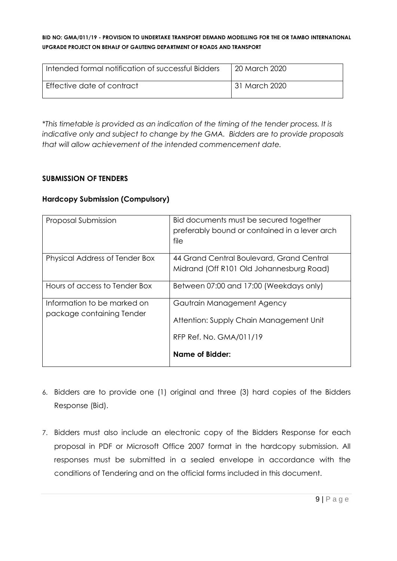| Intended formal notification of successful Bidders | 20 March 2020 |
|----------------------------------------------------|---------------|
| Effective date of contract                         | 31 March 2020 |

*\*This timetable is provided as an indication of the timing of the tender process. It is indicative only and subject to change by the GMA. Bidders are to provide proposals that will allow achievement of the intended commencement date.*

# **SUBMISSION OF TENDERS**

#### **Hardcopy Submission (Compulsory)**

| Proposal Submission                                      | Bid documents must be secured together<br>preferably bound or contained in a lever arch<br>file  |
|----------------------------------------------------------|--------------------------------------------------------------------------------------------------|
| Physical Address of Tender Box                           | 44 Grand Central Boulevard, Grand Central<br>Midrand (Off R101 Old Johannesburg Road)            |
| Hours of access to Tender Box                            | Between 07:00 and 17:00 (Weekdays only)                                                          |
| Information to be marked on<br>package containing Tender | Gautrain Management Agency<br>Attention: Supply Chain Management Unit<br>RFP Ref. No. GMA/011/19 |
|                                                          | Name of Bidder:                                                                                  |

- 6. Bidders are to provide one (1) original and three (3) hard copies of the Bidders Response (Bid).
- 7. Bidders must also include an electronic copy of the Bidders Response for each proposal in PDF or Microsoft Office 2007 format in the hardcopy submission. All responses must be submitted in a sealed envelope in accordance with the conditions of Tendering and on the official forms included in this document.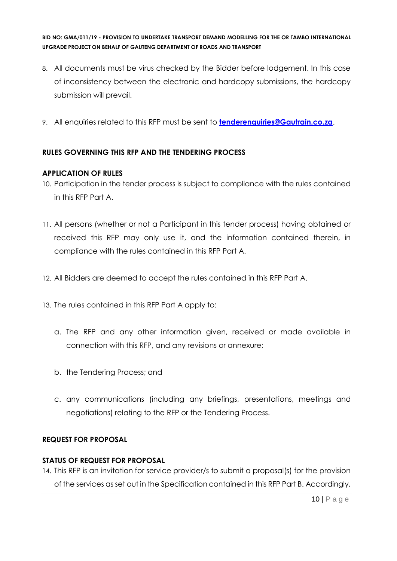- 8. All documents must be virus checked by the Bidder before lodgement. In this case of inconsistency between the electronic and hardcopy submissions, the hardcopy submission will prevail.
- 9. All enquiries related to this RFP must be sent to **[tenderenquiries@Gautrain.co.za](mailto:tenderenquiries@Gautrain.co.za)**.

# **RULES GOVERNING THIS RFP AND THE TENDERING PROCESS**

# **APPLICATION OF RULES**

- 10. Participation in the tender process is subject to compliance with the rules contained in this RFP Part A.
- 11. All persons (whether or not a Participant in this tender process) having obtained or received this RFP may only use it, and the information contained therein, in compliance with the rules contained in this RFP Part A.
- 12. All Bidders are deemed to accept the rules contained in this RFP Part A.
- 13. The rules contained in this RFP Part A apply to:
	- a. The RFP and any other information given, received or made available in connection with this RFP, and any revisions or annexure;
	- b. the Tendering Process; and
	- c. any communications (including any briefings, presentations, meetings and negotiations) relating to the RFP or the Tendering Process.

# **REQUEST FOR PROPOSAL**

# **STATUS OF REQUEST FOR PROPOSAL**

14. This RFP is an invitation for service provider/s to submit a proposal(s) for the provision of the services as set out in the Specification contained in this RFP Part B. Accordingly,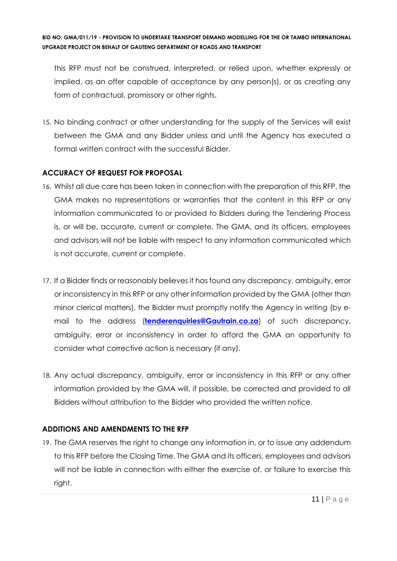this RFP must not be construed, interpreted, or relied upon, whether expressly or implied, as an offer capable of acceptance by any person(s), or as creating any form of contractual, promissory or other rights.

15. No binding contract or other understanding for the supply of the Services will exist between the GMA and any Bidder unless and until the Agency has executed a formal written contract with the successful Bidder.

# **ACCURACY OF REQUEST FOR PROPOSAL**

- 16. Whilst all due care has been taken in connection with the preparation of this RFP, the GMA makes no representations or warranties that the content in this RFP or any information communicated to or provided to Bidders during the Tendering Process is, or will be, accurate, current or complete. The GMA, and its officers, employees and advisors will not be liable with respect to any information communicated which is not accurate, current or complete.
- 17. If a Bidder finds or reasonably believes it has found any discrepancy, ambiguity, error or inconsistency in this RFP or any other information provided by the GMA (other than minor clerical matters), the Bidder must promptly notify the Agency in writing (by email to the address (**[tenderenquiries@Gautrain.co.za](mailto:tenderenquiries@Gautrain.co.za)**) of such discrepancy, ambiguity, error or inconsistency in order to afford the GMA an opportunity to consider what corrective action is necessary (if any).
- 18. Any actual discrepancy, ambiguity, error or inconsistency in this RFP or any other information provided by the GMA will, if possible, be corrected and provided to all Bidders without attribution to the Bidder who provided the written notice.

# **ADDITIONS AND AMENDMENTS TO THE RFP**

19. The GMA reserves the right to change any information in, or to issue any addendum to this RFP before the Closing Time. The GMA and its officers, employees and advisors will not be liable in connection with either the exercise of, or failure to exercise this right.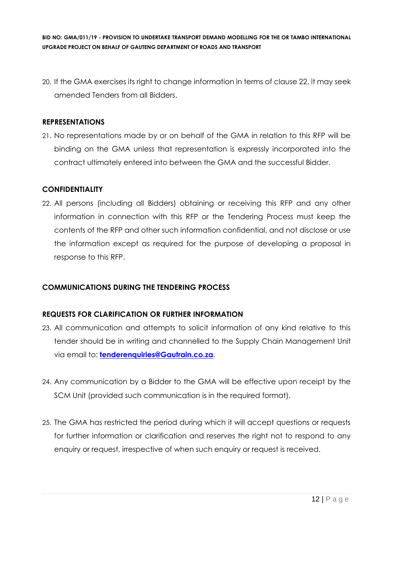20. If the GMA exercises its right to change information in terms of clause 22, it may seek amended Tenders from all Bidders.

#### **REPRESENTATIONS**

21. No representations made by or on behalf of the GMA in relation to this RFP will be binding on the GMA unless that representation is expressly incorporated into the contract ultimately entered into between the GMA and the successful Bidder.

# **CONFIDENTIALITY**

22. All persons (including all Bidders) obtaining or receiving this RFP and any other information in connection with this RFP or the Tendering Process must keep the contents of the RFP and other such information confidential, and not disclose or use the information except as required for the purpose of developing a proposal in response to this RFP.

# **COMMUNICATIONS DURING THE TENDERING PROCESS**

# **REQUESTS FOR CLARIFICATION OR FURTHER INFORMATION**

- 23. All communication and attempts to solicit information of any kind relative to this tender should be in writing and channelled to the Supply Chain Management Unit via email to: **[tenderenquiries@Gautrain.co.za](mailto:tenderenquiries@gautrainpo.co.za)**.
- 24. Any communication by a Bidder to the GMA will be effective upon receipt by the SCM Unit (provided such communication is in the required format).
- 25. The GMA has restricted the period during which it will accept questions or requests for further information or clarification and reserves the right not to respond to any enquiry or request, irrespective of when such enquiry or request is received.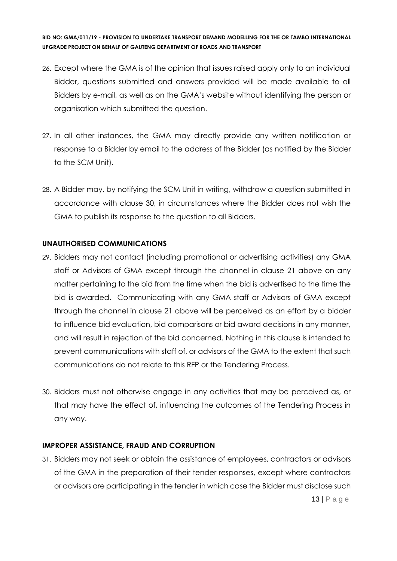- 26. Except where the GMA is of the opinion that issues raised apply only to an individual Bidder, questions submitted and answers provided will be made available to all Bidders by e-mail, as well as on the GMA's website without identifying the person or organisation which submitted the question.
- 27. In all other instances, the GMA may directly provide any written notification or response to a Bidder by email to the address of the Bidder (as notified by the Bidder to the SCM Unit).
- 28. A Bidder may, by notifying the SCM Unit in writing, withdraw a question submitted in accordance with clause 30, in circumstances where the Bidder does not wish the GMA to publish its response to the question to all Bidders.

#### **UNAUTHORISED COMMUNICATIONS**

- 29. Bidders may not contact (including promotional or advertising activities) any GMA staff or Advisors of GMA except through the channel in clause 21 above on any matter pertaining to the bid from the time when the bid is advertised to the time the bid is awarded. Communicating with any GMA staff or Advisors of GMA except through the channel in clause 21 above will be perceived as an effort by a bidder to influence bid evaluation, bid comparisons or bid award decisions in any manner, and will result in rejection of the bid concerned. Nothing in this clause is intended to prevent communications with staff of, or advisors of the GMA to the extent that such communications do not relate to this RFP or the Tendering Process.
- 30. Bidders must not otherwise engage in any activities that may be perceived as, or that may have the effect of, influencing the outcomes of the Tendering Process in any way.

#### **IMPROPER ASSISTANCE, FRAUD AND CORRUPTION**

31. Bidders may not seek or obtain the assistance of employees, contractors or advisors of the GMA in the preparation of their tender responses, except where contractors or advisors are participating in the tender in which case the Bidder must disclose such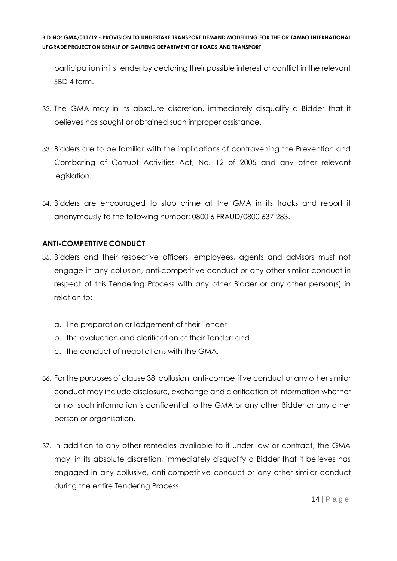participation in its tender by declaring their possible interest or conflict in the relevant SBD 4 form.

- 32. The GMA may in its absolute discretion, immediately disqualify a Bidder that it believes has sought or obtained such improper assistance.
- 33. Bidders are to be familiar with the implications of contravening the Prevention and Combating of Corrupt Activities Act, No. 12 of 2005 and any other relevant legislation.
- 34. Bidders are encouraged to stop crime at the GMA in its tracks and report it anonymously to the following number: 0800 6 FRAUD/0800 637 283.

# **ANTI-COMPETITIVE CONDUCT**

- 35. Bidders and their respective officers, employees, agents and advisors must not engage in any collusion, anti-competitive conduct or any other similar conduct in respect of this Tendering Process with any other Bidder or any other person(s) in relation to:
	- a. The preparation or lodgement of their Tender
	- b. the evaluation and clarification of their Tender; and
	- c. the conduct of negotiations with the GMA.
- 36. For the purposes of clause 38, collusion, anti-competitive conduct or any other similar conduct may include disclosure, exchange and clarification of information whether or not such information is confidential to the GMA or any other Bidder or any other person or organisation.
- 37. In addition to any other remedies available to it under law or contract, the GMA may, in its absolute discretion, immediately disqualify a Bidder that it believes has engaged in any collusive, anti-competitive conduct or any other similar conduct during the entire Tendering Process.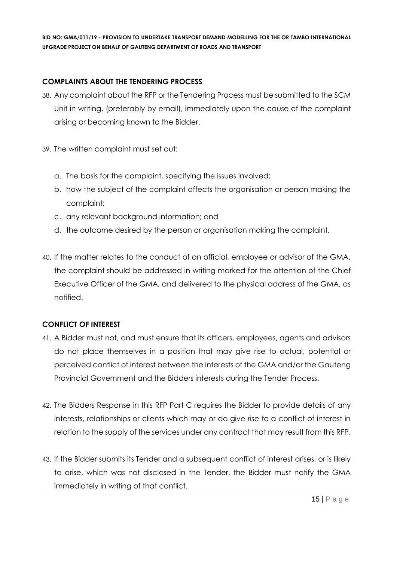# **COMPLAINTS ABOUT THE TENDERING PROCESS**

- 38. Any complaint about the RFP or the Tendering Process must be submitted to the SCM Unit in writing, (preferably by email), immediately upon the cause of the complaint arising or becoming known to the Bidder.
- 39. The written complaint must set out:
	- a. The basis for the complaint, specifying the issues involved;
	- b. how the subject of the complaint affects the organisation or person making the complaint;
	- c. any relevant background information; and
	- d. the outcome desired by the person or organisation making the complaint.
- 40. If the matter relates to the conduct of an official, employee or advisor of the GMA, the complaint should be addressed in writing marked for the attention of the Chief Executive Officer of the GMA, and delivered to the physical address of the GMA, as notified.

# **CONFLICT OF INTEREST**

- 41. A Bidder must not, and must ensure that its officers, employees, agents and advisors do not place themselves in a position that may give rise to actual, potential or perceived conflict of interest between the interests of the GMA and/or the Gauteng Provincial Government and the Bidders interests during the Tender Process.
- 42. The Bidders Response in this RFP Part C requires the Bidder to provide details of any interests, relationships or clients which may or do give rise to a conflict of interest in relation to the supply of the services under any contract that may result from this RFP.
- 43. If the Bidder submits its Tender and a subsequent conflict of interest arises, or is likely to arise, which was not disclosed in the Tender, the Bidder must notify the GMA immediately in writing of that conflict.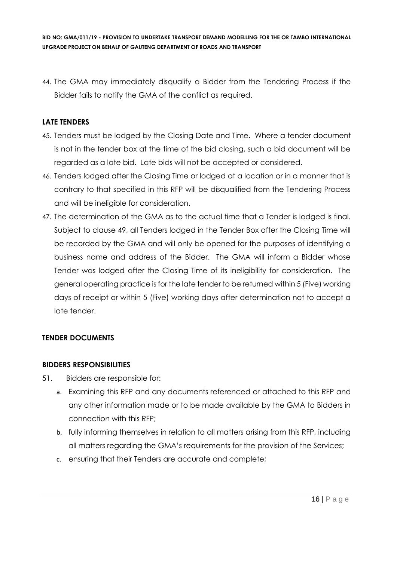44. The GMA may immediately disqualify a Bidder from the Tendering Process if the Bidder fails to notify the GMA of the conflict as required.

# **LATE TENDERS**

- 45. Tenders must be lodged by the Closing Date and Time. Where a tender document is not in the tender box at the time of the bid closing, such a bid document will be regarded as a late bid. Late bids will not be accepted or considered.
- 46. Tenders lodged after the Closing Time or lodged at a location or in a manner that is contrary to that specified in this RFP will be disqualified from the Tendering Process and will be ineligible for consideration.
- 47. The determination of the GMA as to the actual time that a Tender is lodged is final. Subject to clause 49, all Tenders lodged in the Tender Box after the Closing Time will be recorded by the GMA and will only be opened for the purposes of identifying a business name and address of the Bidder. The GMA will inform a Bidder whose Tender was lodged after the Closing Time of its ineligibility for consideration. The general operating practice is for the late tender to be returned within 5 (Five) working days of receipt or within 5 (Five) working days after determination not to accept a late tender.

# **TENDER DOCUMENTS**

# **BIDDERS RESPONSIBILITIES**

- 51. Bidders are responsible for:
	- a. Examining this RFP and any documents referenced or attached to this RFP and any other information made or to be made available by the GMA to Bidders in connection with this RFP;
	- b. fully informing themselves in relation to all matters arising from this RFP, including all matters regarding the GMA's requirements for the provision of the Services;
	- c. ensuring that their Tenders are accurate and complete;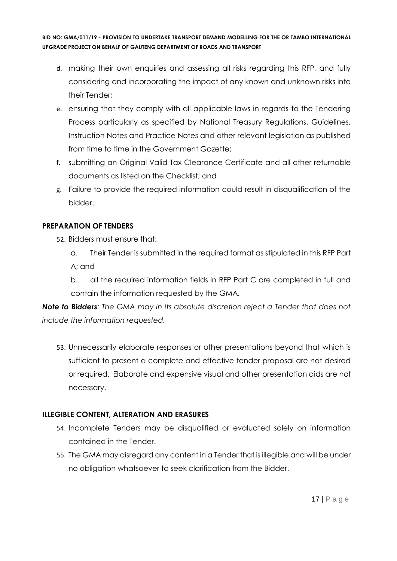- d. making their own enquiries and assessing all risks regarding this RFP, and fully considering and incorporating the impact of any known and unknown risks into their Tender;
- e. ensuring that they comply with all applicable laws in regards to the Tendering Process particularly as specified by National Treasury Regulations, Guidelines, Instruction Notes and Practice Notes and other relevant legislation as published from time to time in the Government Gazette;
- f. submitting an Original Valid Tax Clearance Certificate and all other returnable documents as listed on the Checklist; and
- g. Failure to provide the required information could result in disqualification of the bidder.

# **PREPARATION OF TENDERS**

- 52. Bidders must ensure that:
	- a. Their Tender is submitted in the required format as stipulated in this RFP Part A; and
	- b. all the required information fields in RFP Part C are completed in full and contain the information requested by the GMA.

*Note to Bidders: The GMA may in its absolute discretion reject a Tender that does not include the information requested.*

53. Unnecessarily elaborate responses or other presentations beyond that which is sufficient to present a complete and effective tender proposal are not desired or required. Elaborate and expensive visual and other presentation aids are not necessary.

# **ILLEGIBLE CONTENT, ALTERATION AND ERASURES**

- 54. Incomplete Tenders may be disqualified or evaluated solely on information contained in the Tender.
- 55. The GMA may disregard any content in a Tender that is illegible and will be under no obligation whatsoever to seek clarification from the Bidder.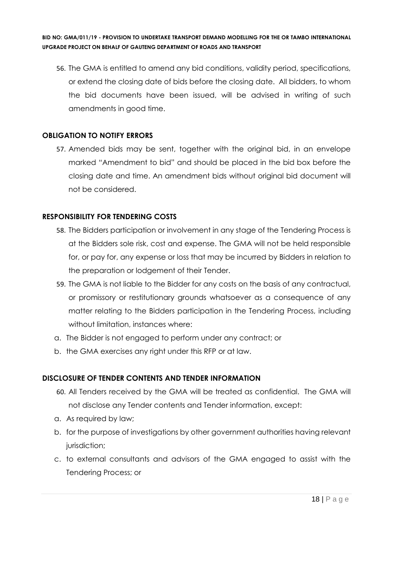56. The GMA is entitled to amend any bid conditions, validity period, specifications, or extend the closing date of bids before the closing date. All bidders, to whom the bid documents have been issued, will be advised in writing of such amendments in good time.

# **OBLIGATION TO NOTIFY ERRORS**

57. Amended bids may be sent, together with the original bid, in an envelope marked "Amendment to bid" and should be placed in the bid box before the closing date and time. An amendment bids without original bid document will not be considered.

# **RESPONSIBILITY FOR TENDERING COSTS**

- 58. The Bidders participation or involvement in any stage of the Tendering Process is at the Bidders sole risk, cost and expense. The GMA will not be held responsible for, or pay for, any expense or loss that may be incurred by Bidders in relation to the preparation or lodgement of their Tender.
- 59. The GMA is not liable to the Bidder for any costs on the basis of any contractual, or promissory or restitutionary grounds whatsoever as a consequence of any matter relating to the Bidders participation in the Tendering Process, including without limitation, instances where:
- a. The Bidder is not engaged to perform under any contract; or
- b. the GMA exercises any right under this RFP or at law.

# **DISCLOSURE OF TENDER CONTENTS AND TENDER INFORMATION**

- 60. All Tenders received by the GMA will be treated as confidential. The GMA will not disclose any Tender contents and Tender information, except:
- a. As required by law;
- b. for the purpose of investigations by other government authorities having relevant jurisdiction;
- c. to external consultants and advisors of the GMA engaged to assist with the Tendering Process; or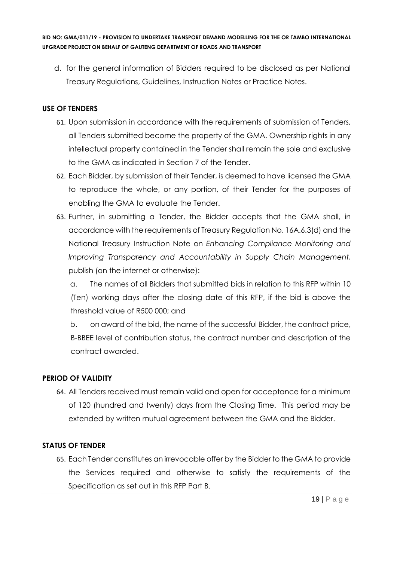d. for the general information of Bidders required to be disclosed as per National Treasury Regulations, Guidelines, Instruction Notes or Practice Notes.

# **USE OF TENDERS**

- 61. Upon submission in accordance with the requirements of submission of Tenders, all Tenders submitted become the property of the GMA. Ownership rights in any intellectual property contained in the Tender shall remain the sole and exclusive to the GMA as indicated in Section 7 of the Tender.
- 62. Each Bidder, by submission of their Tender, is deemed to have licensed the GMA to reproduce the whole, or any portion, of their Tender for the purposes of enabling the GMA to evaluate the Tender.
- 63. Further, in submitting a Tender, the Bidder accepts that the GMA shall, in accordance with the requirements of Treasury Regulation No. 16A.6.3(d) and the National Treasury Instruction Note on *Enhancing Compliance Monitoring and Improving Transparency and Accountability in Supply Chain Management,*  publish (on the internet or otherwise):

a. The names of all Bidders that submitted bids in relation to this RFP within 10 (Ten) working days after the closing date of this RFP, if the bid is above the threshold value of R500 000; and

b. on award of the bid, the name of the successful Bidder, the contract price, B-BBEE level of contribution status, the contract number and description of the contract awarded.

# **PERIOD OF VALIDITY**

64. All Tenders received must remain valid and open for acceptance for a minimum of 120 (hundred and twenty) days from the Closing Time. This period may be extended by written mutual agreement between the GMA and the Bidder.

# **STATUS OF TENDER**

65. Each Tender constitutes an irrevocable offer by the Bidder to the GMA to provide the Services required and otherwise to satisfy the requirements of the Specification as set out in this RFP Part B.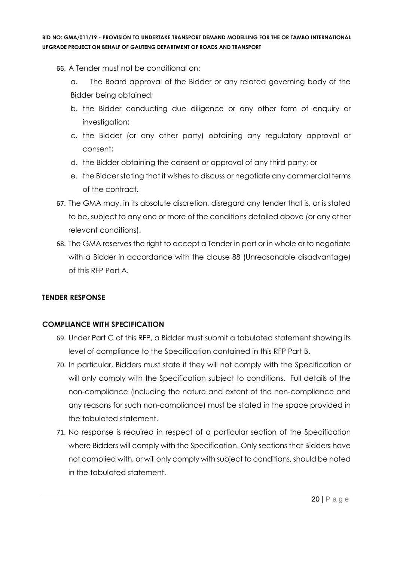- 66. A Tender must not be conditional on:
	- a. The Board approval of the Bidder or any related governing body of the Bidder being obtained;
	- b. the Bidder conducting due diligence or any other form of enquiry or investigation;
	- c. the Bidder (or any other party) obtaining any regulatory approval or consent;
	- d. the Bidder obtaining the consent or approval of any third party; or
	- e. the Bidder stating that it wishes to discuss or negotiate any commercial terms of the contract.
- 67. The GMA may, in its absolute discretion, disregard any tender that is, or is stated to be, subject to any one or more of the conditions detailed above (or any other relevant conditions).
- 68. The GMA reserves the right to accept a Tender in part or in whole or to negotiate with a Bidder in accordance with the clause 88 (Unreasonable disadvantage) of this RFP Part A.

# **TENDER RESPONSE**

# **COMPLIANCE WITH SPECIFICATION**

- 69. Under Part C of this RFP, a Bidder must submit a tabulated statement showing its level of compliance to the Specification contained in this RFP Part B.
- 70. In particular, Bidders must state if they will not comply with the Specification or will only comply with the Specification subject to conditions. Full details of the non-compliance (including the nature and extent of the non-compliance and any reasons for such non-compliance) must be stated in the space provided in the tabulated statement.
- 71. No response is required in respect of a particular section of the Specification where Bidders will comply with the Specification. Only sections that Bidders have not complied with, or will only comply with subject to conditions, should be noted in the tabulated statement.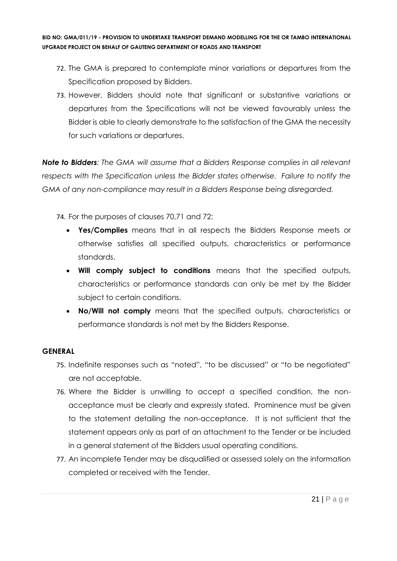- 72. The GMA is prepared to contemplate minor variations or departures from the Specification proposed by Bidders.
- 73. However, Bidders should note that significant or substantive variations or departures from the Specifications will not be viewed favourably unless the Bidder is able to clearly demonstrate to the satisfaction of the GMA the necessity for such variations or departures.

*Note to Bidders: The GMA will assume that a Bidders Response complies in all relevant respects with the Specification unless the Bidder states otherwise. Failure to notify the GMA of any non-compliance may result in a Bidders Response being disregarded.*

74. For the purposes of clauses 70,71 and 72:

- **Yes/Complies** means that in all respects the Bidders Response meets or otherwise satisfies all specified outputs, characteristics or performance standards.
- **Will comply subject to conditions** means that the specified outputs, characteristics or performance standards can only be met by the Bidder subject to certain conditions.
- **No/Will not comply** means that the specified outputs, characteristics or performance standards is not met by the Bidders Response.

# **GENERAL**

- 75. Indefinite responses such as "noted", "to be discussed" or "to be negotiated" are not acceptable.
- 76. Where the Bidder is unwilling to accept a specified condition, the nonacceptance must be clearly and expressly stated. Prominence must be given to the statement detailing the non-acceptance. It is not sufficient that the statement appears only as part of an attachment to the Tender or be included in a general statement of the Bidders usual operating conditions.
- 77. An incomplete Tender may be disqualified or assessed solely on the information completed or received with the Tender.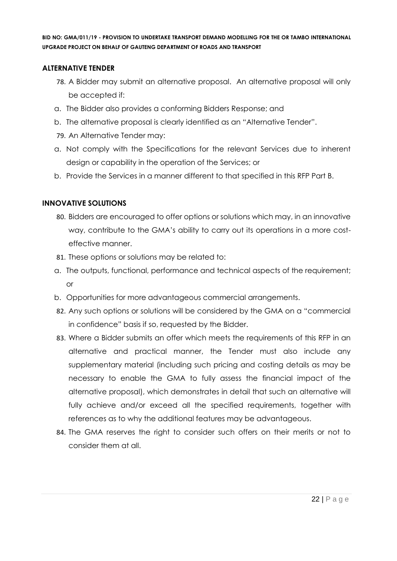#### **ALTERNATIVE TENDER**

- 78. A Bidder may submit an alternative proposal. An alternative proposal will only be accepted if:
- a. The Bidder also provides a conforming Bidders Response; and
- b. The alternative proposal is clearly identified as an "Alternative Tender".
- 79. An Alternative Tender may:
- a. Not comply with the Specifications for the relevant Services due to inherent design or capability in the operation of the Services; or
- b. Provide the Services in a manner different to that specified in this RFP Part B.

# **INNOVATIVE SOLUTIONS**

- 80. Bidders are encouraged to offer options or solutions which may, in an innovative way, contribute to the GMA's ability to carry out its operations in a more costeffective manner.
- 81. These options or solutions may be related to:
- a. The outputs, functional, performance and technical aspects of the requirement; or
- b. Opportunities for more advantageous commercial arrangements.
- 82. Any such options or solutions will be considered by the GMA on a "commercial in confidence" basis if so, requested by the Bidder.
- 83. Where a Bidder submits an offer which meets the requirements of this RFP in an alternative and practical manner, the Tender must also include any supplementary material (including such pricing and costing details as may be necessary to enable the GMA to fully assess the financial impact of the alternative proposal), which demonstrates in detail that such an alternative will fully achieve and/or exceed all the specified requirements, together with references as to why the additional features may be advantageous.
- 84. The GMA reserves the right to consider such offers on their merits or not to consider them at all.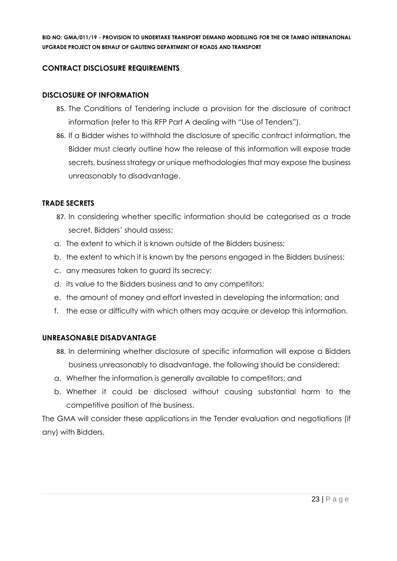# **CONTRACT DISCLOSURE REQUIREMENTS**

#### **DISCLOSURE OF INFORMATION**

- 85. The Conditions of Tendering include a provision for the disclosure of contract information (refer to this RFP Part A dealing with "Use of Tenders").
- 86. If a Bidder wishes to withhold the disclosure of specific contract information, the Bidder must clearly outline how the release of this information will expose trade secrets, business strategy or unique methodologies that may expose the business unreasonably to disadvantage.

# **TRADE SECRETS**

- 87. In considering whether specific information should be categorised as a trade secret, Bidders' should assess:
- a. The extent to which it is known outside of the Bidders business;
- b. the extent to which it is known by the persons engaged in the Bidders business;
- c. any measures taken to guard its secrecy;
- d. its value to the Bidders business and to any competitors;
- e. the amount of money and effort invested in developing the information; and
- f. the ease or difficulty with which others may acquire or develop this information.

# **UNREASONABLE DISADVANTAGE**

- 88. In determining whether disclosure of specific information will expose a Bidders business unreasonably to disadvantage, the following should be considered:
- a. Whether the information is generally available to competitors; and
- b. Whether it could be disclosed without causing substantial harm to the competitive position of the business.

The GMA will consider these applications in the Tender evaluation and negotiations (if any) with Bidders.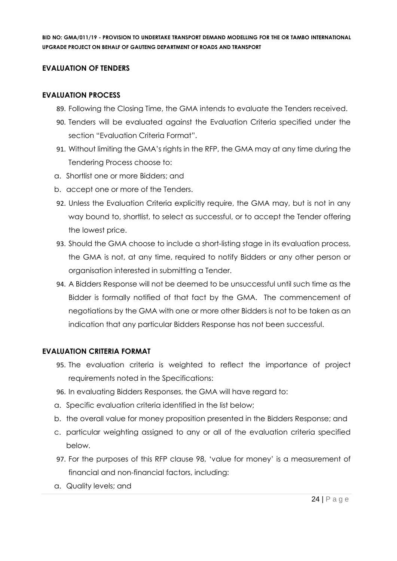# **EVALUATION OF TENDERS**

# **EVALUATION PROCESS**

- 89. Following the Closing Time, the GMA intends to evaluate the Tenders received.
- 90. Tenders will be evaluated against the Evaluation Criteria specified under the section "Evaluation Criteria Format".
- 91. Without limiting the GMA's rights in the RFP, the GMA may at any time during the Tendering Process choose to:
- a. Shortlist one or more Bidders; and
- b. accept one or more of the Tenders.
- 92. Unless the Evaluation Criteria explicitly require, the GMA may, but is not in any way bound to, shortlist, to select as successful, or to accept the Tender offering the lowest price.
- 93. Should the GMA choose to include a short-listing stage in its evaluation process, the GMA is not, at any time, required to notify Bidders or any other person or organisation interested in submitting a Tender.
- 94. A Bidders Response will not be deemed to be unsuccessful until such time as the Bidder is formally notified of that fact by the GMA. The commencement of negotiations by the GMA with one or more other Bidders is not to be taken as an indication that any particular Bidders Response has not been successful.

# **EVALUATION CRITERIA FORMAT**

- 95. The evaluation criteria is weighted to reflect the importance of project requirements noted in the Specifications:
- 96. In evaluating Bidders Responses, the GMA will have regard to:
- a. Specific evaluation criteria identified in the list below;
- b. the overall value for money proposition presented in the Bidders Response; and
- c. particular weighting assigned to any or all of the evaluation criteria specified below.
- 97. For the purposes of this RFP clause 98, 'value for money' is a measurement of financial and non-financial factors, including:
- a. Quality levels; and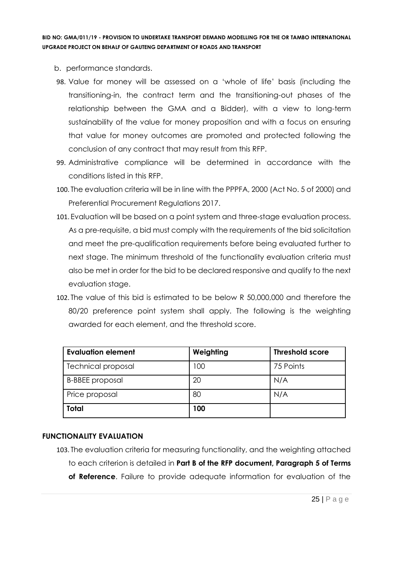- b. performance standards.
- 98. Value for money will be assessed on a 'whole of life' basis (including the transitioning-in, the contract term and the transitioning-out phases of the relationship between the GMA and a Bidder), with a view to long-term sustainability of the value for money proposition and with a focus on ensuring that value for money outcomes are promoted and protected following the conclusion of any contract that may result from this RFP.
- 99. Administrative compliance will be determined in accordance with the conditions listed in this RFP.
- 100. The evaluation criteria will be in line with the PPPFA, 2000 (Act No. 5 of 2000) and Preferential Procurement Regulations 2017.
- 101. Evaluation will be based on a point system and three-stage evaluation process. As a pre-requisite, a bid must comply with the requirements of the bid solicitation and meet the pre-qualification requirements before being evaluated further to next stage. The minimum threshold of the functionality evaluation criteria must also be met in order for the bid to be declared responsive and qualify to the next evaluation stage.
- 102. The value of this bid is estimated to be below R 50,000,000 and therefore the 80/20 preference point system shall apply. The following is the weighting awarded for each element, and the threshold score.

| <b>Evaluation element</b> | Weighting | <b>Threshold score</b> |
|---------------------------|-----------|------------------------|
| <b>Technical proposal</b> | 100       | 75 Points              |
| <b>B-BBEE</b> proposal    | 20        | N/A                    |
| Price proposal            | 80        | N/A                    |
| Total                     | 100       |                        |

# **FUNCTIONALITY EVALUATION**

103. The evaluation criteria for measuring functionality, and the weighting attached to each criterion is detailed in **Part B of the RFP document, Paragraph 5 of Terms of Reference**. Failure to provide adequate information for evaluation of the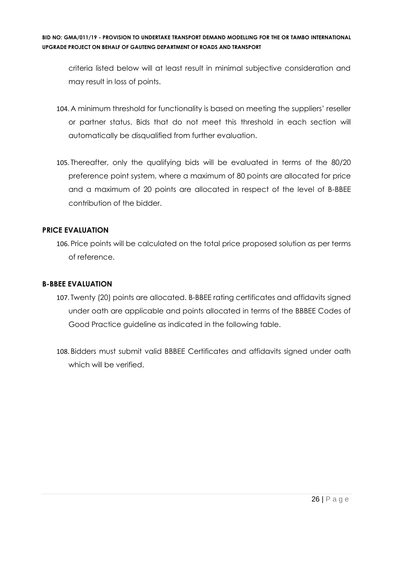criteria listed below will at least result in minimal subjective consideration and may result in loss of points.

- 104. A minimum threshold for functionality is based on meeting the suppliers' reseller or partner status. Bids that do not meet this threshold in each section will automatically be disqualified from further evaluation.
- 105. Thereafter, only the qualifying bids will be evaluated in terms of the 80/20 preference point system, where a maximum of 80 points are allocated for price and a maximum of 20 points are allocated in respect of the level of B-BBEE contribution of the bidder.

# **PRICE EVALUATION**

106. Price points will be calculated on the total price proposed solution as per terms of reference.

#### **B-BBEE EVALUATION**

- 107. Twenty (20) points are allocated. B-BBEE rating certificates and affidavits signed under oath are applicable and points allocated in terms of the BBBEE Codes of Good Practice guideline as indicated in the following table.
- 108. Bidders must submit valid BBBEE Certificates and affidavits signed under oath which will be verified.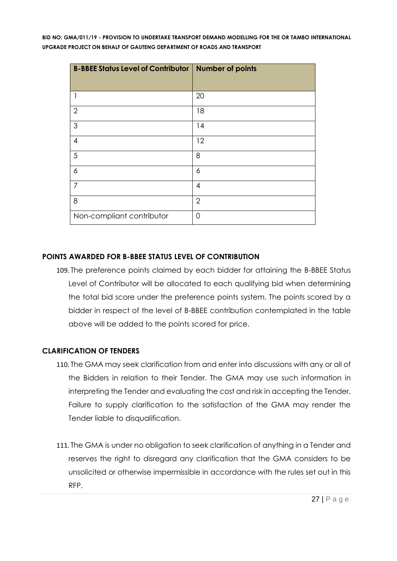| <b>B-BBEE Status Level of Contributor</b> | <b>Number of points</b> |
|-------------------------------------------|-------------------------|
|                                           |                         |
|                                           | 20                      |
| $\overline{2}$                            | 18                      |
| $\mathfrak{S}$                            | 14                      |
| $\overline{4}$                            | 12                      |
| 5                                         | 8                       |
| 6                                         | 6                       |
| $\overline{7}$                            | 4                       |
| 8                                         | $\overline{2}$          |
| Non-compliant contributor                 | $\Omega$                |

# **POINTS AWARDED FOR B-BBEE STATUS LEVEL OF CONTRIBUTION**

109. The preference points claimed by each bidder for attaining the B-BBEE Status Level of Contributor will be allocated to each qualifying bid when determining the total bid score under the preference points system. The points scored by a bidder in respect of the level of B-BBEE contribution contemplated in the table above will be added to the points scored for price.

# **CLARIFICATION OF TENDERS**

- 110. The GMA may seek clarification from and enter into discussions with any or all of the Bidders in relation to their Tender. The GMA may use such information in interpreting the Tender and evaluating the cost and risk in accepting the Tender. Failure to supply clarification to the satisfaction of the GMA may render the Tender liable to disqualification.
- 111. The GMA is under no obligation to seek clarification of anything in a Tender and reserves the right to disregard any clarification that the GMA considers to be unsolicited or otherwise impermissible in accordance with the rules set out in this RFP.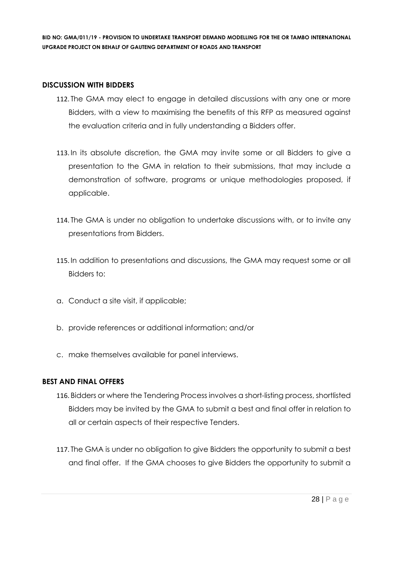#### **DISCUSSION WITH BIDDERS**

- 112. The GMA may elect to engage in detailed discussions with any one or more Bidders, with a view to maximising the benefits of this RFP as measured against the evaluation criteria and in fully understanding a Bidders offer.
- 113. In its absolute discretion, the GMA may invite some or all Bidders to give a presentation to the GMA in relation to their submissions, that may include a demonstration of software, programs or unique methodologies proposed, if applicable.
- 114. The GMA is under no obligation to undertake discussions with, or to invite any presentations from Bidders.
- 115. In addition to presentations and discussions, the GMA may request some or all Bidders to:
- a. Conduct a site visit, if applicable;
- b. provide references or additional information; and/or
- c. make themselves available for panel interviews.

# **BEST AND FINAL OFFERS**

- 116. Bidders or where the Tendering Process involves a short-listing process, shortlisted Bidders may be invited by the GMA to submit a best and final offer in relation to all or certain aspects of their respective Tenders.
- 117. The GMA is under no obligation to give Bidders the opportunity to submit a best and final offer. If the GMA chooses to give Bidders the opportunity to submit a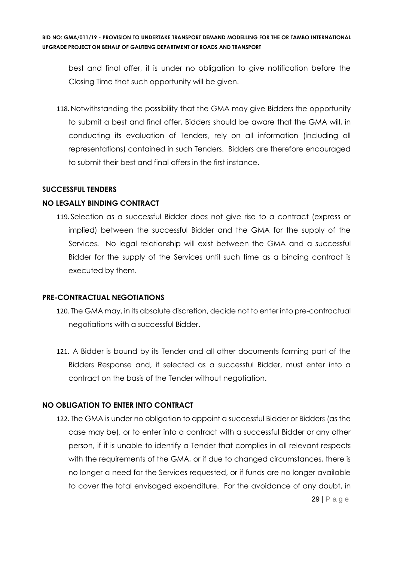best and final offer, it is under no obligation to give notification before the Closing Time that such opportunity will be given.

118. Notwithstanding the possibility that the GMA may give Bidders the opportunity to submit a best and final offer, Bidders should be aware that the GMA will, in conducting its evaluation of Tenders, rely on all information (including all representations) contained in such Tenders. Bidders are therefore encouraged to submit their best and final offers in the first instance.

#### **SUCCESSFUL TENDERS**

#### **NO LEGALLY BINDING CONTRACT**

119. Selection as a successful Bidder does not give rise to a contract (express or implied) between the successful Bidder and the GMA for the supply of the Services. No legal relationship will exist between the GMA and a successful Bidder for the supply of the Services until such time as a binding contract is executed by them.

#### **PRE-CONTRACTUAL NEGOTIATIONS**

- 120. The GMA may, in its absolute discretion, decide not to enter into pre-contractual negotiations with a successful Bidder.
- 121. A Bidder is bound by its Tender and all other documents forming part of the Bidders Response and, if selected as a successful Bidder, must enter into a contract on the basis of the Tender without negotiation.

#### **NO OBLIGATION TO ENTER INTO CONTRACT**

122. The GMA is under no obligation to appoint a successful Bidder or Bidders (as the case may be), or to enter into a contract with a successful Bidder or any other person, if it is unable to identify a Tender that complies in all relevant respects with the requirements of the GMA, or if due to changed circumstances, there is no longer a need for the Services requested, or if funds are no longer available to cover the total envisaged expenditure. For the avoidance of any doubt, in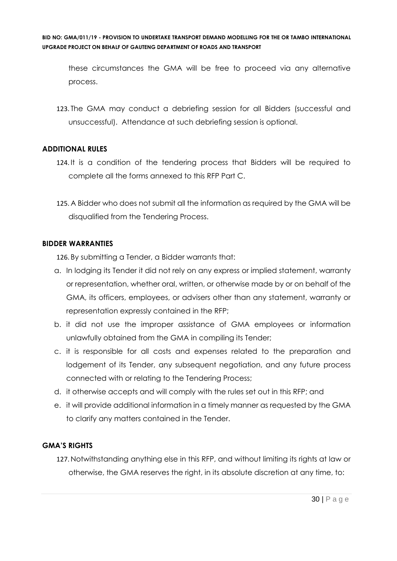these circumstances the GMA will be free to proceed via any alternative process.

123. The GMA may conduct a debriefing session for all Bidders (successful and unsuccessful). Attendance at such debriefing session is optional.

# **ADDITIONAL RULES**

- 124. It is a condition of the tendering process that Bidders will be required to complete all the forms annexed to this RFP Part C.
- 125. A Bidder who does not submit all the information as required by the GMA will be disqualified from the Tendering Process.

# **BIDDER WARRANTIES**

126. By submitting a Tender, a Bidder warrants that:

- a. In lodging its Tender it did not rely on any express or implied statement, warranty or representation, whether oral, written, or otherwise made by or on behalf of the GMA, its officers, employees, or advisers other than any statement, warranty or representation expressly contained in the RFP;
- b. it did not use the improper assistance of GMA employees or information unlawfully obtained from the GMA in compiling its Tender;
- c. it is responsible for all costs and expenses related to the preparation and lodgement of its Tender, any subsequent negotiation, and any future process connected with or relating to the Tendering Process;
- d. it otherwise accepts and will comply with the rules set out in this RFP; and
- e. it will provide additional information in a timely manner as requested by the GMA to clarify any matters contained in the Tender.

# **GMA'S RIGHTS**

127. Notwithstanding anything else in this RFP, and without limiting its rights at law or otherwise, the GMA reserves the right, in its absolute discretion at any time, to: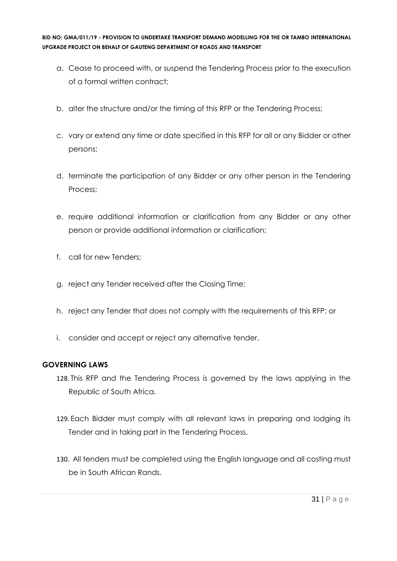- a. Cease to proceed with, or suspend the Tendering Process prior to the execution of a formal written contract;
- b. alter the structure and/or the timing of this RFP or the Tendering Process;
- c. vary or extend any time or date specified in this RFP for all or any Bidder or other persons;
- d. terminate the participation of any Bidder or any other person in the Tendering Process;
- e. require additional information or clarification from any Bidder or any other person or provide additional information or clarification;
- f. call for new Tenders;
- g. reject any Tender received after the Closing Time;
- h. reject any Tender that does not comply with the requirements of this RFP; or
- i. consider and accept or reject any alternative tender.

# **GOVERNING LAWS**

- 128. This RFP and the Tendering Process is governed by the laws applying in the Republic of South Africa.
- 129. Each Bidder must comply with all relevant laws in preparing and lodging its Tender and in taking part in the Tendering Process.
- 130. All tenders must be completed using the English language and all costing must be in South African Rands.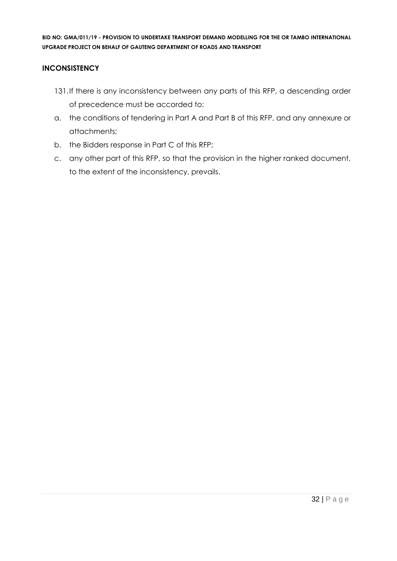# **INCONSISTENCY**

- 131.If there is any inconsistency between any parts of this RFP, a descending order of precedence must be accorded to:
- a. the conditions of tendering in Part A and Part B of this RFP, and any annexure or attachments;
- b. the Bidders response in Part C of this RFP;
- c. any other part of this RFP, so that the provision in the higher ranked document, to the extent of the inconsistency, prevails.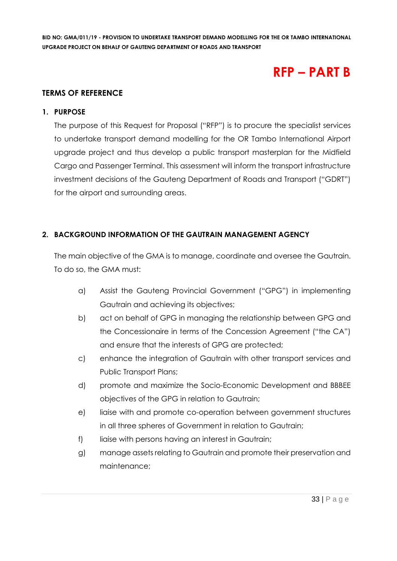# **RFP – PART B**

# **TERMS OF REFERENCE**

#### **1. PURPOSE**

The purpose of this Request for Proposal ("RFP") is to procure the specialist services to undertake transport demand modelling for the OR Tambo International Airport upgrade project and thus develop a public transport masterplan for the Midfield Cargo and Passenger Terminal. This assessment will inform the transport infrastructure investment decisions of the Gauteng Department of Roads and Transport ("GDRT") for the airport and surrounding areas.

# **2. BACKGROUND INFORMATION OF THE GAUTRAIN MANAGEMENT AGENCY**

The main objective of the GMA is to manage, coordinate and oversee the Gautrain. To do so, the GMA must:

- a) Assist the Gauteng Provincial Government ("GPG") in implementing Gautrain and achieving its objectives;
- b) act on behalf of GPG in managing the relationship between GPG and the Concessionaire in terms of the Concession Agreement ("the CA") and ensure that the interests of GPG are protected;
- c) enhance the integration of Gautrain with other transport services and Public Transport Plans;
- d) promote and maximize the Socio-Economic Development and BBBEE objectives of the GPG in relation to Gautrain;
- e) liaise with and promote co-operation between government structures in all three spheres of Government in relation to Gautrain;
- f) liaise with persons having an interest in Gautrain;
- g) manage assets relating to Gautrain and promote their preservation and maintenance;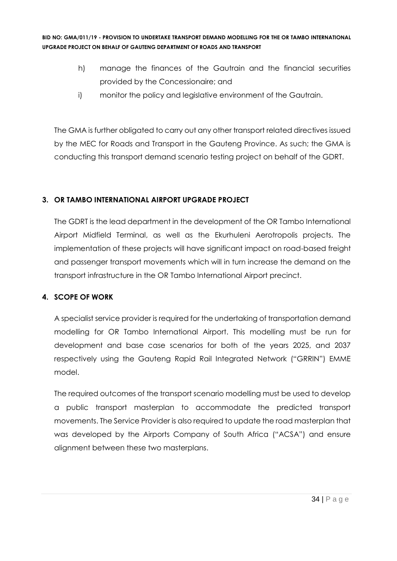- h) manage the finances of the Gautrain and the financial securities provided by the Concessionaire; and
- i) monitor the policy and legislative environment of the Gautrain.

The GMA is further obligated to carry out any other transport related directives issued by the MEC for Roads and Transport in the Gauteng Province. As such; the GMA is conducting this transport demand scenario testing project on behalf of the GDRT.

# **3. OR TAMBO INTERNATIONAL AIRPORT UPGRADE PROJECT**

The GDRT is the lead department in the development of the OR Tambo International Airport Midfield Terminal, as well as the Ekurhuleni Aerotropolis projects. The implementation of these projects will have significant impact on road-based freight and passenger transport movements which will in turn increase the demand on the transport infrastructure in the OR Tambo International Airport precinct.

# **4. SCOPE OF WORK**

A specialist service provider is required for the undertaking of transportation demand modelling for OR Tambo International Airport. This modelling must be run for development and base case scenarios for both of the years 2025, and 2037 respectively using the Gauteng Rapid Rail Integrated Network ("GRRIN") EMME model.

The required outcomes of the transport scenario modelling must be used to develop a public transport masterplan to accommodate the predicted transport movements. The Service Provider is also required to update the road masterplan that was developed by the Airports Company of South Africa ("ACSA") and ensure alignment between these two masterplans.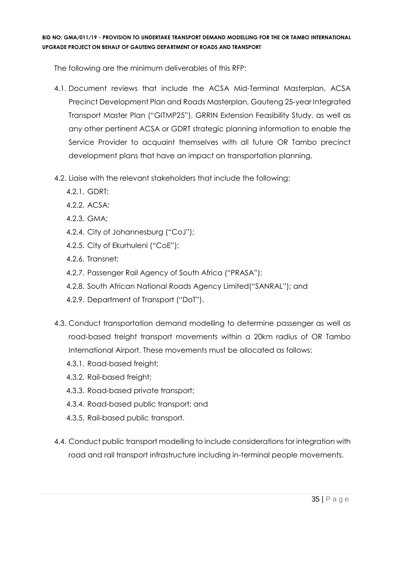The following are the minimum deliverables of this RFP:

- 4.1. Document reviews that include the ACSA Mid-Terminal Masterplan, ACSA Precinct Development Plan and Roads Masterplan, Gauteng 25-year Integrated Transport Master Plan ("GITMP25"), GRRIN Extension Feasibility Study, as well as any other pertinent ACSA or GDRT strategic planning information to enable the Service Provider to acquaint themselves with all future OR Tambo precinct development plans that have an impact on transportation planning.
- 4.2. Liaise with the relevant stakeholders that include the following:
	- 4.2.1. GDRT;
	- 4.2.2. ACSA;
	- 4.2.3. GMA;
	- 4.2.4. City of Johannesburg ("CoJ");
	- 4.2.5. City of Ekurhuleni ("CoE");
	- 4.2.6. Transnet;
	- 4.2.7. Passenger Rail Agency of South Africa ("PRASA");
	- 4.2.8. South African National Roads Agency Limited("SANRAL"); and
	- 4.2.9. Department of Transport ("DoT").
- 4.3. Conduct transportation demand modelling to determine passenger as well as road-based freight transport movements within a 20km radius of OR Tambo International Airport. These movements must be allocated as follows:
	- 4.3.1. Road-based freight;
	- 4.3.2. Rail-based freight;
	- 4.3.3. Road-based private transport;
	- 4.3.4. Road-based public transport; and
	- 4.3.5. Rail-based public transport.
- 4.4. Conduct public transport modelling to include considerations for integration with road and rail transport infrastructure including in-terminal people movements.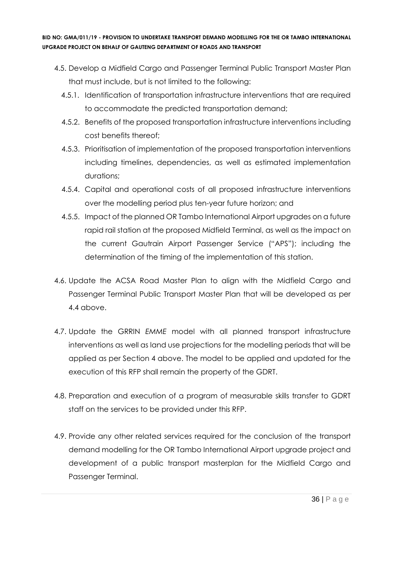- 4.5. Develop a Midfield Cargo and Passenger Terminal Public Transport Master Plan that must include, but is not limited to the following:
	- 4.5.1. Identification of transportation infrastructure interventions that are required to accommodate the predicted transportation demand;
	- 4.5.2. Benefits of the proposed transportation infrastructure interventions including cost benefits thereof;
	- 4.5.3. Prioritisation of implementation of the proposed transportation interventions including timelines, dependencies, as well as estimated implementation durations;
	- 4.5.4. Capital and operational costs of all proposed infrastructure interventions over the modelling period plus ten-year future horizon; and
	- 4.5.5. Impact of the planned OR Tambo International Airport upgrades on a future rapid rail station at the proposed Midfield Terminal, as well as the impact on the current Gautrain Airport Passenger Service ("APS"); including the determination of the timing of the implementation of this station.
- 4.6. Update the ACSA Road Master Plan to align with the Midfield Cargo and Passenger Terminal Public Transport Master Plan that will be developed as per 4.4 above.
- 4.7. Update the GRRIN *EMME* model with all planned transport infrastructure interventions as well as land use projections for the modelling periods that will be applied as per Section 4 above. The model to be applied and updated for the execution of this RFP shall remain the property of the GDRT.
- 4.8. Preparation and execution of a program of measurable skills transfer to GDRT staff on the services to be provided under this RFP.
- 4.9. Provide any other related services required for the conclusion of the transport demand modelling for the OR Tambo International Airport upgrade project and development of a public transport masterplan for the Midfield Cargo and Passenger Terminal.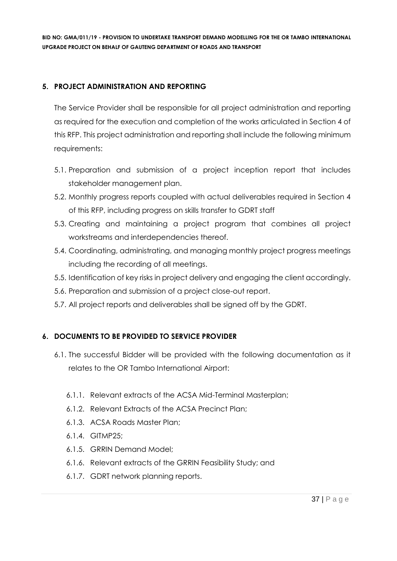# **5. PROJECT ADMINISTRATION AND REPORTING**

The Service Provider shall be responsible for all project administration and reporting as required for the execution and completion of the works articulated in Section 4 of this RFP. This project administration and reporting shall include the following minimum requirements:

- 5.1. Preparation and submission of a project inception report that includes stakeholder management plan.
- 5.2. Monthly progress reports coupled with actual deliverables required in Section 4 of this RFP, including progress on skills transfer to GDRT staff
- 5.3. Creating and maintaining a project program that combines all project workstreams and interdependencies thereof.
- 5.4. Coordinating, administrating, and managing monthly project progress meetings including the recording of all meetings.
- 5.5. Identification of key risks in project delivery and engaging the client accordingly.
- 5.6. Preparation and submission of a project close-out report.
- 5.7. All project reports and deliverables shall be signed off by the GDRT.

# **6. DOCUMENTS TO BE PROVIDED TO SERVICE PROVIDER**

- 6.1. The successful Bidder will be provided with the following documentation as it relates to the OR Tambo International Airport:
	- 6.1.1. Relevant extracts of the ACSA Mid-Terminal Masterplan;
	- 6.1.2. Relevant Extracts of the ACSA Precinct Plan;
	- 6.1.3. ACSA Roads Master Plan;
	- 6.1.4. GITMP25;
	- 6.1.5. GRRIN Demand Model;
	- 6.1.6. Relevant extracts of the GRRIN Feasibility Study; and
	- 6.1.7. GDRT network planning reports.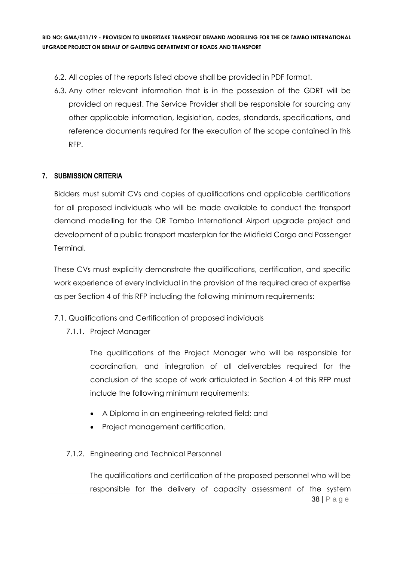- 6.2. All copies of the reports listed above shall be provided in PDF format.
- 6.3. Any other relevant information that is in the possession of the GDRT will be provided on request. The Service Provider shall be responsible for sourcing any other applicable information, legislation, codes, standards, specifications, and reference documents required for the execution of the scope contained in this RFP.

# **7. SUBMISSION CRITERIA**

Bidders must submit CVs and copies of qualifications and applicable certifications for all proposed individuals who will be made available to conduct the transport demand modelling for the OR Tambo International Airport upgrade project and development of a public transport masterplan for the Midfield Cargo and Passenger Terminal.

These CVs must explicitly demonstrate the qualifications, certification, and specific work experience of every individual in the provision of the required area of expertise as per Section 4 of this RFP including the following minimum requirements:

- 7.1. Qualifications and Certification of proposed individuals
	- 7.1.1. Project Manager

The qualifications of the Project Manager who will be responsible for coordination, and integration of all deliverables required for the conclusion of the scope of work articulated in Section 4 of this RFP must include the following minimum requirements:

- A Diploma in an engineering-related field; and
- Project management certification.
- 7.1.2. Engineering and Technical Personnel

38 | P a g e The qualifications and certification of the proposed personnel who will be responsible for the delivery of capacity assessment of the system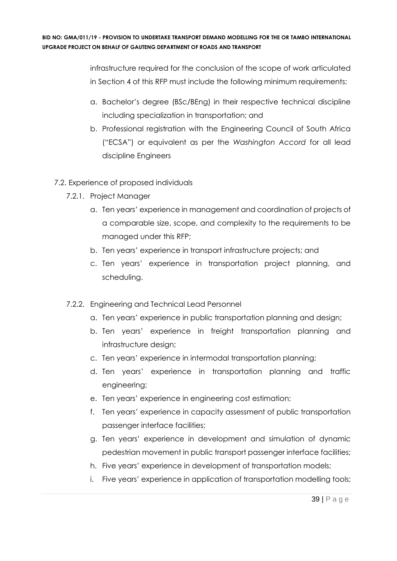> infrastructure required for the conclusion of the scope of work articulated in Section 4 of this RFP must include the following minimum requirements:

- a. Bachelor's degree (BSc/BEng) in their respective technical discipline including specialization in transportation; and
- b. Professional registration with the Engineering Council of South Africa ("ECSA") or equivalent as per the *Washington Accord* for all lead discipline Engineers
- 7.2. Experience of proposed individuals
	- 7.2.1. Project Manager
		- a. Ten years' experience in management and coordination of projects of a comparable size, scope, and complexity to the requirements to be managed under this RFP;
		- b. Ten years' experience in transport infrastructure projects; and
		- c. Ten years' experience in transportation project planning, and scheduling.
	- 7.2.2. Engineering and Technical Lead Personnel
		- a. Ten years' experience in public transportation planning and design;
		- b. Ten years' experience in freight transportation planning and infrastructure design;
		- c. Ten years' experience in intermodal transportation planning;
		- d. Ten years' experience in transportation planning and traffic engineering;
		- e. Ten years' experience in engineering cost estimation;
		- f. Ten years' experience in capacity assessment of public transportation passenger interface facilities;
		- g. Ten years' experience in development and simulation of dynamic pedestrian movement in public transport passenger interface facilities;
		- h. Five years' experience in development of transportation models;
		- i. Five years' experience in application of transportation modelling tools;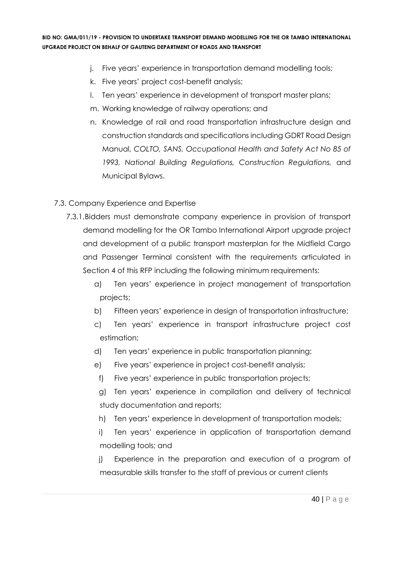- j. Five years' experience in transportation demand modelling tools;
- k. Five years' project cost-benefit analysis;
- l. Ten years' experience in development of transport master plans;
- m. Working knowledge of railway operations; and
- n. Knowledge of rail and road transportation infrastructure design and construction standards and specifications including GDRT Road Design Manual, *COLTO, SANS, Occupational Health and Safety Act No 85 of 1993, National Building Regulations, Construction Regulations,* and Municipal Bylaws.
- 7.3. Company Experience and Expertise
	- 7.3.1.Bidders must demonstrate company experience in provision of transport demand modelling for the OR Tambo International Airport upgrade project and development of a public transport masterplan for the Midfield Cargo and Passenger Terminal consistent with the requirements articulated in Section 4 of this RFP including the following minimum requirements:
		- a) Ten years' experience in project management of transportation projects;
		- b) Fifteen years' experience in design of transportation infrastructure;
		- c) Ten years' experience in transport infrastructure project cost estimation;
		- d) Ten years' experience in public transportation planning;
		- e) Five years' experience in project cost-benefit analysis;
		- f) Five years' experience in public transportation projects;
		- g) Ten years' experience in compilation and delivery of technical study documentation and reports;
		- h) Ten years' experience in development of transportation models;
		- i) Ten years' experience in application of transportation demand modelling tools; and
		- j) Experience in the preparation and execution of a program of measurable skills transfer to the staff of previous or current clients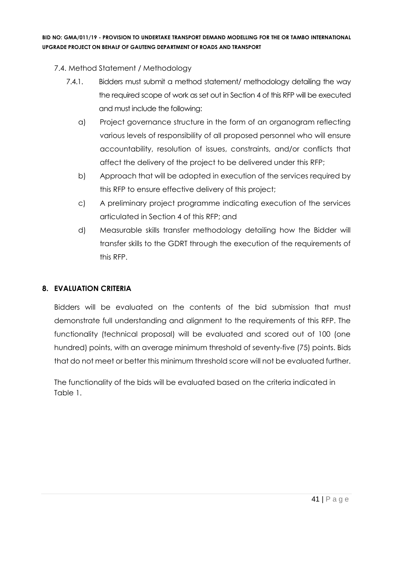- 7.4. Method Statement / Methodology
	- 7.4.1. Bidders must submit a method statement/ methodology detailing the way the required scope of work as set out in Section 4 of this RFP will be executed and must include the following:
		- a) Project governance structure in the form of an organogram reflecting various levels of responsibility of all proposed personnel who will ensure accountability, resolution of issues, constraints, and/or conflicts that affect the delivery of the project to be delivered under this RFP;
		- b) Approach that will be adopted in execution of the services required by this RFP to ensure effective delivery of this project;
		- c) A preliminary project programme indicating execution of the services articulated in Section 4 of this RFP; and
		- d) Measurable skills transfer methodology detailing how the Bidder will transfer skills to the GDRT through the execution of the requirements of this RFP.

# **8. EVALUATION CRITERIA**

Bidders will be evaluated on the contents of the bid submission that must demonstrate full understanding and alignment to the requirements of this RFP. The functionality (technical proposal) will be evaluated and scored out of 100 (one hundred) points, with an average minimum threshold of seventy-five (75) points. Bids that do not meet or better this minimum threshold score will not be evaluated further.

The functionality of the bids will be evaluated based on the criteria indicated in Table 1.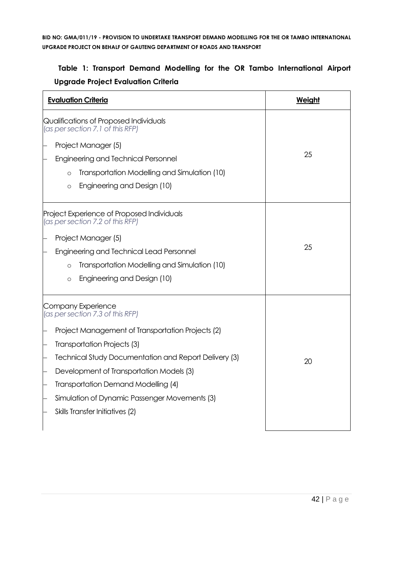# **Table 1: Transport Demand Modelling for the OR Tambo International Airport Upgrade Project Evaluation Criteria**

| <b>Evaluation Criteria</b>                                                     | Weight |
|--------------------------------------------------------------------------------|--------|
| Qualifications of Proposed Individuals<br>(as per section 7.1 of this RFP)     |        |
| Project Manager (5)                                                            |        |
| <b>Engineering and Technical Personnel</b>                                     | 25     |
| Transportation Modelling and Simulation (10)<br>$\Omega$                       |        |
| Engineering and Design (10)<br>$\circ$                                         |        |
| Project Experience of Proposed Individuals<br>(as per section 7.2 of this RFP) |        |
| Project Manager (5)                                                            |        |
| Engineering and Technical Lead Personnel                                       | 25     |
| Transportation Modelling and Simulation (10)<br>$\circ$                        |        |
| Engineering and Design (10)<br>$\circ$                                         |        |
| Company Experience<br>(as per section 7.3 of this RFP)                         |        |
| Project Management of Transportation Projects (2)                              |        |
| Transportation Projects (3)                                                    |        |
| Technical Study Documentation and Report Delivery (3)                          | 20     |
| Development of Transportation Models (3)                                       |        |
| Transportation Demand Modelling (4)                                            |        |
| Simulation of Dynamic Passenger Movements (3)                                  |        |
| Skills Transfer Initiatives (2)                                                |        |
|                                                                                |        |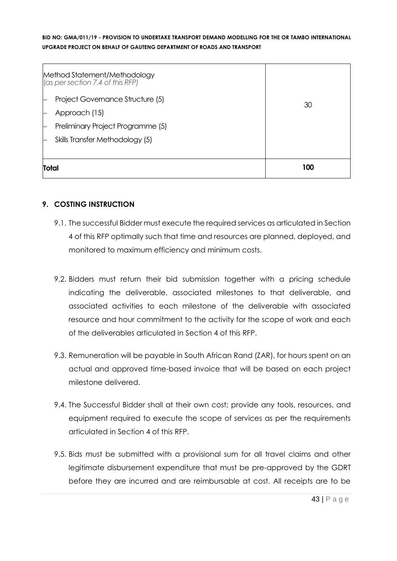| Method Statement/Methodology<br>(as per section 7.4 of this RFP) |     |
|------------------------------------------------------------------|-----|
| Project Governance Structure (5)<br>Approach (15)                | 30  |
| Preliminary Project Programme (5)                                |     |
| Skills Transfer Methodology (5)                                  |     |
| <b>Total</b>                                                     | 100 |

# **9. COSTING INSTRUCTION**

- 9.1. The successful Bidder must execute the required services as articulated in Section 4 of this RFP optimally such that time and resources are planned, deployed, and monitored to maximum efficiency and minimum costs.
- 9.2. Bidders must return their bid submission together with a pricing schedule indicating the deliverable, associated milestones to that deliverable, and associated activities to each milestone of the deliverable with associated resource and hour commitment to the activity for the scope of work and each of the deliverables articulated in Section 4 of this RFP.
- 9.3. Remuneration will be payable in South African Rand (ZAR), for hours spent on an actual and approved time-based invoice that will be based on each project milestone delivered.
- 9.4. The Successful Bidder shall at their own cost; provide any tools, resources, and equipment required to execute the scope of services as per the requirements articulated in Section 4 of this RFP.
- 9.5. Bids must be submitted with a provisional sum for all travel claims and other legitimate disbursement expenditure that must be pre-approved by the GDRT before they are incurred and are reimbursable at cost. All receipts are to be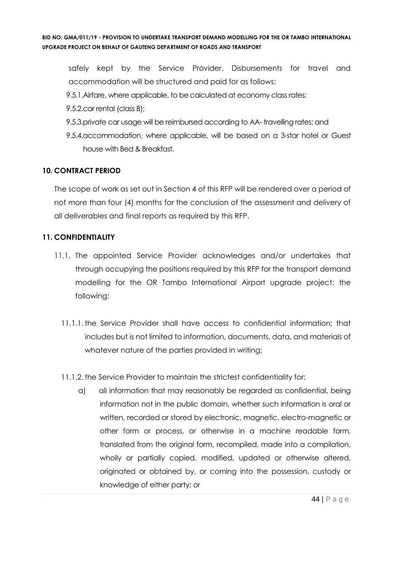safely kept by the Service Provider. Disbursements for travel and accommodation will be structured and paid for as follows:

- 9.5.1.Airfare, where applicable, to be calculated at economy class rates;
- 9.5.2.car rental (class B);
- 9.5.3.private car usage will be reimbursed according to AA- travelling rates; and
- 9.5.4.accommodation, where applicable, will be based on a 3-star hotel or Guest house with Bed & Breakfast.

# **10. CONTRACT PERIOD**

The scope of work as set out in Section 4 of this RFP will be rendered over a period of not more than four (4) months for the conclusion of the assessment and delivery of all deliverables and final reports as required by this RFP.

# **11. CONFIDENTIALITY**

- 11.1. The appointed Service Provider acknowledges and/or undertakes that through occupying the positions required by this RFP for the transport demand modelling for the OR Tambo International Airport upgrade project; the following:
	- 11.1.1. the Service Provider shall have access to confidential information; that includes but is not limited to information, documents, data, and materials of whatever nature of the parties provided in writing;
	- 11.1.2. the Service Provider to maintain the strictest confidentiality for:
		- a) all information that may reasonably be regarded as confidential, being information not in the public domain, whether such information is oral or written, recorded or stored by electronic, magnetic, electro-magnetic or other form or process, or otherwise in a machine readable form, translated from the original form, recompiled, made into a compilation, wholly or partially copied, modified, updated or otherwise altered, originated or obtained by, or coming into the possession, custody or knowledge of either party; or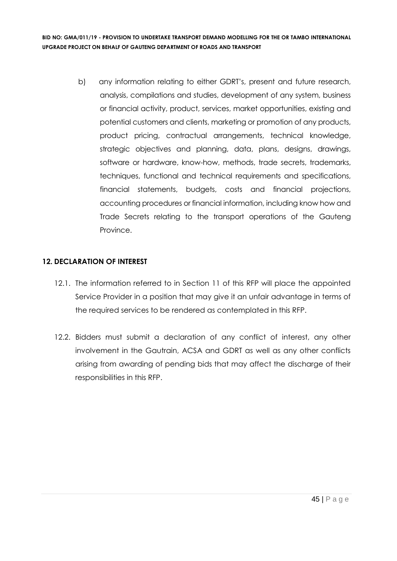> b) any information relating to either GDRT's, present and future research, analysis, compilations and studies, development of any system, business or financial activity, product, services, market opportunities, existing and potential customers and clients, marketing or promotion of any products, product pricing, contractual arrangements, technical knowledge, strategic objectives and planning, data, plans, designs, drawings, software or hardware, know-how, methods, trade secrets, trademarks, techniques, functional and technical requirements and specifications, financial statements, budgets, costs and financial projections, accounting procedures or financial information, including know how and Trade Secrets relating to the transport operations of the Gauteng Province.

# **12. DECLARATION OF INTEREST**

- 12.1. The information referred to in Section 11 of this RFP will place the appointed Service Provider in a position that may give it an unfair advantage in terms of the required services to be rendered as contemplated in this RFP.
- 12.2. Bidders must submit a declaration of any conflict of interest, any other involvement in the Gautrain, ACSA and GDRT as well as any other conflicts arising from awarding of pending bids that may affect the discharge of their responsibilities in this RFP.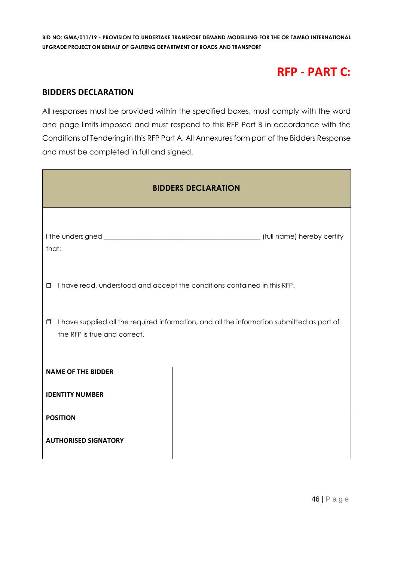# **RFP - PART C:**

# **BIDDERS DECLARATION**

All responses must be provided within the specified boxes, must comply with the word and page limits imposed and must respond to this RFP Part B in accordance with the Conditions of Tendering in this RFP Part A. All Annexures form part of the Bidders Response and must be completed in full and signed.

| <b>BIDDERS DECLARATION</b>                                                                                                           |                                                                          |  |  |  |
|--------------------------------------------------------------------------------------------------------------------------------------|--------------------------------------------------------------------------|--|--|--|
| that:                                                                                                                                |                                                                          |  |  |  |
| $\Box$                                                                                                                               | I have read, understood and accept the conditions contained in this RFP. |  |  |  |
| I have supplied all the required information, and all the information submitted as part of<br>$\Box$<br>the RFP is true and correct. |                                                                          |  |  |  |
| <b>NAME OF THE BIDDER</b>                                                                                                            |                                                                          |  |  |  |
| <b>IDENTITY NUMBER</b>                                                                                                               |                                                                          |  |  |  |
| <b>POSITION</b>                                                                                                                      |                                                                          |  |  |  |
| <b>AUTHORISED SIGNATORY</b>                                                                                                          |                                                                          |  |  |  |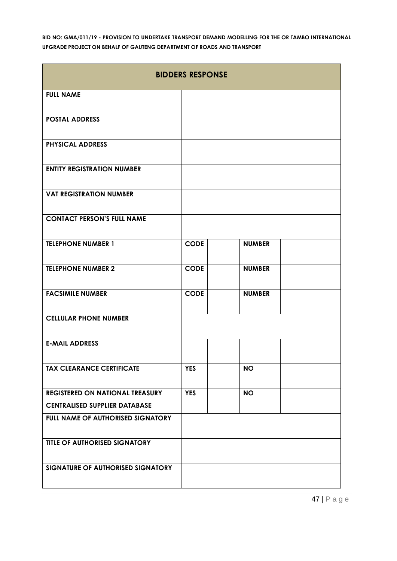| <b>BIDDERS RESPONSE</b>                |             |               |  |  |
|----------------------------------------|-------------|---------------|--|--|
| <b>FULL NAME</b>                       |             |               |  |  |
| <b>POSTAL ADDRESS</b>                  |             |               |  |  |
| <b>PHYSICAL ADDRESS</b>                |             |               |  |  |
| <b>ENTITY REGISTRATION NUMBER</b>      |             |               |  |  |
| <b>VAT REGISTRATION NUMBER</b>         |             |               |  |  |
| <b>CONTACT PERSON'S FULL NAME</b>      |             |               |  |  |
| <b>TELEPHONE NUMBER 1</b>              | <b>CODE</b> | <b>NUMBER</b> |  |  |
| <b>TELEPHONE NUMBER 2</b>              | <b>CODE</b> | <b>NUMBER</b> |  |  |
| <b>FACSIMILE NUMBER</b>                | <b>CODE</b> | <b>NUMBER</b> |  |  |
| <b>CELLULAR PHONE NUMBER</b>           |             |               |  |  |
| <b>E-MAIL ADDRESS</b>                  |             |               |  |  |
| <b>TAX CLEARANCE CERTIFICATE</b>       | <b>YES</b>  | <b>NO</b>     |  |  |
| <b>REGISTERED ON NATIONAL TREASURY</b> | <b>YES</b>  | <b>NO</b>     |  |  |
| <b>CENTRALISED SUPPLIER DATABASE</b>   |             |               |  |  |
| FULL NAME OF AUTHORISED SIGNATORY      |             |               |  |  |
| TITLE OF AUTHORISED SIGNATORY          |             |               |  |  |
| SIGNATURE OF AUTHORISED SIGNATORY      |             |               |  |  |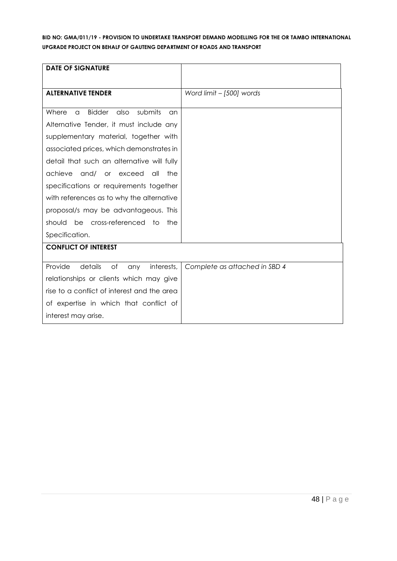| <b>DATE OF SIGNATURE</b>                                    |                               |
|-------------------------------------------------------------|-------------------------------|
|                                                             |                               |
| <b>ALTERNATIVE TENDER</b>                                   | Word limit - [500] words      |
|                                                             |                               |
| <b>Bidder</b><br>also<br>submits<br>Where<br>$\alpha$<br>an |                               |
| Alternative Tender, it must include any                     |                               |
| supplementary material, together with                       |                               |
| associated prices, which demonstrates in                    |                               |
| detail that such an alternative will fully                  |                               |
| achieve<br>and/<br>or exceed<br>all<br>the                  |                               |
| specifications or requirements together                     |                               |
| with references as to why the alternative                   |                               |
| proposal/s may be advantageous. This                        |                               |
| be<br>cross-referenced to<br>should<br>the                  |                               |
| Specification.                                              |                               |
| <b>CONFLICT OF INTEREST</b>                                 |                               |
|                                                             |                               |
| Provide<br>details<br>of<br>interests,<br>any               | Complete as attached in SBD 4 |
| relationships or clients which may give                     |                               |
| rise to a conflict of interest and the area                 |                               |
| of expertise in which that conflict of                      |                               |
| interest may arise.                                         |                               |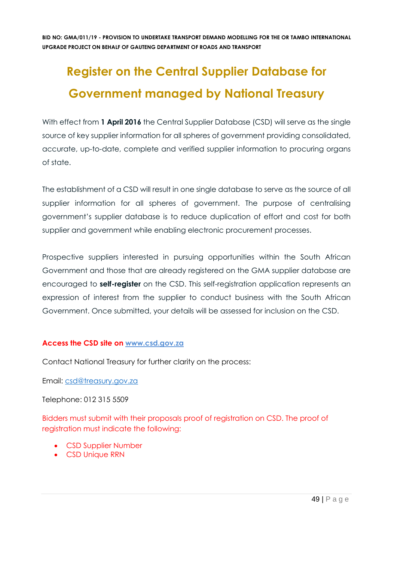# **Register on the Central Supplier Database for Government managed by National Treasury**

With effect from 1 **April 2016** the Central Supplier Database (CSD) will serve as the single source of key supplier information for all spheres of government providing consolidated, accurate, up-to-date, complete and verified supplier information to procuring organs of state.

The establishment of a CSD will result in one single database to serve as the source of all supplier information for all spheres of government. The purpose of centralising government's supplier database is to reduce duplication of effort and cost for both supplier and government while enabling electronic procurement processes.

Prospective suppliers interested in pursuing opportunities within the South African Government and those that are already registered on the GMA supplier database are encouraged to **self-register** on the CSD. This self-registration application represents an expression of interest from the supplier to conduct business with the South African Government. Once submitted, your details will be assessed for inclusion on the CSD.

# **Access the CSD site on [www.csd.gov.za](http://www.csd.gov.za/)**

Contact National Treasury for further clarity on the process:

Email: [csd@treasury.gov.za](mailto:csd@treasury.gov.za)

Telephone: 012 315 5509

Bidders must submit with their proposals proof of registration on CSD. The proof of registration must indicate the following:

- CSD Supplier Number
- CSD Unique RRN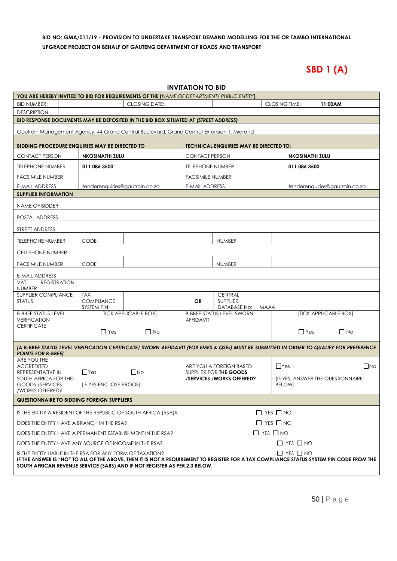# **SBD 1 (A)**

| <b>INVITATION TO BID</b>                                                                                                                                                                                               |                                                                                    |                             |                         |                                                    |                      |                        |                                         |                                |  |
|------------------------------------------------------------------------------------------------------------------------------------------------------------------------------------------------------------------------|------------------------------------------------------------------------------------|-----------------------------|-------------------------|----------------------------------------------------|----------------------|------------------------|-----------------------------------------|--------------------------------|--|
| YOU ARE HEREBY INVITED TO BID FOR REQUIREMENTS OF THE (NAME OF DEPARTMENT/ PUBLIC ENTITY)                                                                                                                              |                                                                                    |                             |                         |                                                    |                      |                        |                                         |                                |  |
| <b>BID NUMBER:</b>                                                                                                                                                                                                     | <b>CLOSING DATE:</b>                                                               |                             |                         |                                                    |                      | <b>CLOSING TIME:</b>   |                                         | 11:00AM                        |  |
| <b>DESCRIPTION</b>                                                                                                                                                                                                     |                                                                                    |                             |                         |                                                    |                      |                        |                                         |                                |  |
| BID RESPONSE DOCUMENTS MAY BE DEPOSITED IN THE BID BOX SITUATED AT (STREET ADDRESS)<br>Gautrain Management Agency, 44 Grand Central Boulevard, Grand Central Extension 1, Midrand                                      |                                                                                    |                             |                         |                                                    |                      |                        |                                         |                                |  |
|                                                                                                                                                                                                                        |                                                                                    |                             |                         |                                                    |                      |                        |                                         |                                |  |
| <b>BIDDING PROCEDURE ENQUIRIES MAY BE DIRECTED TO</b>                                                                                                                                                                  |                                                                                    |                             |                         | <b>TECHNICAL ENQUIRIES MAY BE DIRECTED TO:</b>     |                      |                        |                                         |                                |  |
| <b>CONTACT PERSON</b>                                                                                                                                                                                                  | <b>NKOSINATHI ZULU</b>                                                             |                             | <b>CONTACT PERSON</b>   |                                                    |                      | <b>NKOSINATHI ZULU</b> |                                         |                                |  |
| <b>TELEPHONE NUMBER</b>                                                                                                                                                                                                | 011 086 3500                                                                       |                             | <b>TELEPHONE NUMBER</b> |                                                    |                      | 011 086 3500           |                                         |                                |  |
| <b>FACSIMILE NUMBER</b>                                                                                                                                                                                                |                                                                                    |                             | <b>FACSIMILE NUMBER</b> |                                                    |                      |                        |                                         |                                |  |
| <b>E-MAIL ADDRESS</b>                                                                                                                                                                                                  | tenderenquiries@gautrain.co.za                                                     |                             | <b>E-MAIL ADDRESS</b>   |                                                    |                      |                        |                                         | tenderenquiries@gautrain.co.za |  |
| <b>SUPPLIER INFORMATION</b>                                                                                                                                                                                            |                                                                                    |                             |                         |                                                    |                      |                        |                                         |                                |  |
| NAME OF BIDDER                                                                                                                                                                                                         |                                                                                    |                             |                         |                                                    |                      |                        |                                         |                                |  |
| POSTAL ADDRESS                                                                                                                                                                                                         |                                                                                    |                             |                         |                                                    |                      |                        |                                         |                                |  |
| STREET ADDRESS                                                                                                                                                                                                         |                                                                                    |                             |                         |                                                    |                      |                        |                                         |                                |  |
| <b>TELEPHONE NUMBER</b>                                                                                                                                                                                                | <b>CODE</b>                                                                        |                             |                         | <b>NUMBER</b>                                      |                      |                        |                                         |                                |  |
| <b>CELLPHONE NUMBER</b>                                                                                                                                                                                                |                                                                                    |                             |                         |                                                    |                      |                        |                                         |                                |  |
| <b>FACSIMILE NUMBER</b>                                                                                                                                                                                                | <b>CODE</b>                                                                        |                             |                         | <b>NUMBER</b>                                      |                      |                        |                                         |                                |  |
| <b>E-MAIL ADDRESS</b>                                                                                                                                                                                                  |                                                                                    |                             |                         |                                                    |                      |                        |                                         |                                |  |
| <b>REGISTRATION</b><br><b>VAT</b><br><b>NUMBER</b>                                                                                                                                                                     |                                                                                    |                             |                         |                                                    |                      |                        |                                         |                                |  |
| SUPPLIER COMPLIANCE                                                                                                                                                                                                    | <b>TAX</b>                                                                         |                             |                         | <b>CENTRAL</b>                                     |                      |                        |                                         |                                |  |
| <b>STATUS</b>                                                                                                                                                                                                          | <b>COMPLIANCE</b><br>SYSTEM PIN:                                                   |                             | OR.                     | <b>SUPPLIER</b><br>DATABASE No:                    | <b>MAAA</b>          |                        |                                         |                                |  |
| <b>B-BBEE STATUS LEVEL</b><br><b>VERIFICATION</b>                                                                                                                                                                      |                                                                                    | <b>TICK APPLICABLE BOX]</b> | <b>AFFIDAVIT</b>        | <b>B-BBEE STATUS LEVEL SWORN</b>                   |                      |                        |                                         | [TICK APPLICABLE BOX]          |  |
| <b>CERTIFICATE</b>                                                                                                                                                                                                     |                                                                                    |                             |                         |                                                    |                      |                        |                                         |                                |  |
|                                                                                                                                                                                                                        | $\Box$ Yes                                                                         | $\Box$ No                   |                         |                                                    |                      | $\Box$ Yes             |                                         | $\Box$ No                      |  |
| [A B-BBEE STATUS LEVEL VERIFICATION CERTIFICATE/ SWORN AFFIDAVIT (FOR EMES & QSEs) MUST BE SUBMITTED IN ORDER TO QUALIFY FOR PREFERENCE                                                                                |                                                                                    |                             |                         |                                                    |                      |                        |                                         |                                |  |
| <b>POINTS FOR B-BBEEJ</b><br>ARE YOU THE                                                                                                                                                                               |                                                                                    |                             |                         |                                                    |                      |                        |                                         |                                |  |
| <b>ACCREDITED</b>                                                                                                                                                                                                      |                                                                                    |                             |                         | ARE YOU A FOREIGN BASED                            |                      | $\Box$ Yes             |                                         | $\Box$ No                      |  |
| REPRESENTATIVE IN<br>SOUTH AFRICA FOR THE                                                                                                                                                                              | $\Box$ Yes                                                                         | $\Box$ No                   |                         | SUPPLIER FOR THE GOODS<br>/SERVICES/WORKS OFFERED? |                      |                        | <b>IF YES, ANSWER THE QUESTIONNAIRE</b> |                                |  |
| <b>GOODS /SERVICES</b><br>/WORKS OFFERED?                                                                                                                                                                              | [IF YES ENCLOSE PROOF]                                                             |                             |                         |                                                    |                      | <b>BELOW</b>           |                                         |                                |  |
| <b>QUESTIONNAIRE TO BIDDING FOREIGN SUPPLIERS</b>                                                                                                                                                                      |                                                                                    |                             |                         |                                                    |                      |                        |                                         |                                |  |
| IS THE ENTITY A RESIDENT OF THE REPUBLIC OF SOUTH AFRICA (RSA)?                                                                                                                                                        |                                                                                    |                             |                         |                                                    | $\Box$ YES $\Box$ NO |                        |                                         |                                |  |
| $\Box$ YES $\Box$ NO<br>DOES THE ENTITY HAVE A BRANCH IN THE RSA?                                                                                                                                                      |                                                                                    |                             |                         |                                                    |                      |                        |                                         |                                |  |
|                                                                                                                                                                                                                        | $\Box$ YES $\Box$ NO<br>DOES THE ENTITY HAVE A PERMANENT ESTABLISHMENT IN THE RSA? |                             |                         |                                                    |                      |                        |                                         |                                |  |
|                                                                                                                                                                                                                        | $\Box$ YES $\Box$ NO<br>DOES THE ENTITY HAVE ANY SOURCE OF INCOME IN THE RSA?      |                             |                         |                                                    |                      |                        |                                         |                                |  |
| $\Box$ YES $\Box$ NO<br>IS THE ENTITY LIABLE IN THE RSA FOR ANY FORM OF TAXATION?                                                                                                                                      |                                                                                    |                             |                         |                                                    |                      |                        |                                         |                                |  |
| IF THE ANSWER IS "NO" TO ALL OF THE ABOVE, THEN IT IS NOT A REQUIREMENT TO REGISTER FOR A TAX COMPLIANCE STATUS SYSTEM PIN CODE FROM THE<br>SOUTH AFRICAN REVENUE SERVICE (SARS) AND IF NOT REGISTER AS PER 2.3 BELOW. |                                                                                    |                             |                         |                                                    |                      |                        |                                         |                                |  |
|                                                                                                                                                                                                                        |                                                                                    |                             |                         |                                                    |                      |                        |                                         |                                |  |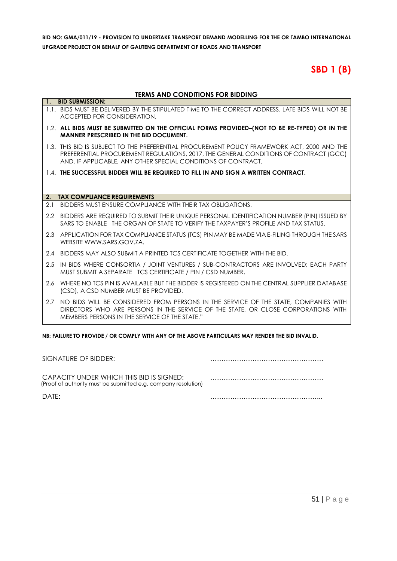# **SBD 1 (B)**

#### **TERMS AND CONDITIONS FOR BIDDING**

|     | טוווטטוט אט ויטווטווטואן און נומ                                                                                                                                                                                                                     |
|-----|------------------------------------------------------------------------------------------------------------------------------------------------------------------------------------------------------------------------------------------------------|
|     | 1. BID SUBMISSION:                                                                                                                                                                                                                                   |
|     | 1.1. BIDS MUST BE DELIVERED BY THE STIPULATED TIME TO THE CORRECT ADDRESS. LATE BIDS WILL NOT BE<br>ACCEPTED FOR CONSIDERATION.                                                                                                                      |
|     | 1.2. ALL BIDS MUST BE SUBMITTED ON THE OFFICIAL FORMS PROVIDED-(NOT TO BE RE-TYPED) OR IN THE<br><b>MANNER PRESCRIBED IN THE BID DOCUMENT.</b>                                                                                                       |
|     | 1.3. THIS BID IS SUBJECT TO THE PREFERENTIAL PROCUREMENT POLICY FRAMEWORK ACT, 2000 AND THE<br>PREFERENTIAL PROCUREMENT REGULATIONS, 2017, THE GENERAL CONDITIONS OF CONTRACT (GCC)<br>AND, IF APPLICABLE, ANY OTHER SPECIAL CONDITIONS OF CONTRACT. |
|     | 1.4. THE SUCCESSFUL BIDDER WILL BE REQUIRED TO FILL IN AND SIGN A WRITTEN CONTRACT.                                                                                                                                                                  |
|     |                                                                                                                                                                                                                                                      |
|     |                                                                                                                                                                                                                                                      |
| 2.  | <b>TAX COMPLIANCE REQUIREMENTS</b>                                                                                                                                                                                                                   |
| 2.1 | BIDDERS MUST ENSURE COMPLIANCE WITH THEIR TAX OBLIGATIONS.                                                                                                                                                                                           |
|     | 2.2 BIDDERS ARE REQUIRED TO SUBMIT THEIR UNIQUE PERSONAL IDENTIFICATION NUMBER (PIN) ISSUED BY<br>SARS TO FNABLE. THE ORGAN OF STATE TO VERIFY THE TAXPAYER'S PROFILE AND TAX STATUS.                                                                |
|     | 2.3 APPLICATION FOR TAX COMPLIANCE STATUS (TCS) PIN MAY BE MADE VIA E-FILING THROUGH THE SARS<br>WEBSITE WWW.SARS.GOV.7A.                                                                                                                            |
|     | 2.4 BIDDERS MAY ALSO SUBMIT A PRINTED TCS CERTIFICATE TOGETHER WITH THE BID.                                                                                                                                                                         |
| 2.5 | IN BIDS WHERE CONSORTIA / JOINT VENTURES / SUB-CONTRACTORS ARE INVOLVED; EACH PARTY<br>MUST SUBMIT A SEPARATE TCS CERTIFICATE / PIN / CSD NUMBER.                                                                                                    |
|     | 2.6 WHERE NO TCS PIN IS AVAILABLE BUT THE BIDDER IS REGISTERED ON THE CENTRAL SUPPLIER DATABASE<br>(CSD), A CSD NUMBER MUST BE PROVIDED.                                                                                                             |
|     | 2.7 NO BIDS WILL BE CONSIDERED FROM PERSONS IN THE SERVICE OF THE STATE, COMPANIES WITH<br>DIRECTORS WHO ARE PERSONS IN THE SERVICE OF THE STATE, OR CLOSE CORPORATIONS WITH<br>MEMBERS PERSONS IN THE SERVICE OF THE STATE."                        |

**NB: FAILURE TO PROVIDE / OR COMPLY WITH ANY OF THE ABOVE PARTICULARS MAY RENDER THE BID INVALID**.

| SIGNATURE OF BIDDER:                                                                                       |  |
|------------------------------------------------------------------------------------------------------------|--|
| CAPACITY UNDER WHICH THIS BID IS SIGNED:<br>(Proof of authority must be submitted e.g. company resolution) |  |
| DATF:                                                                                                      |  |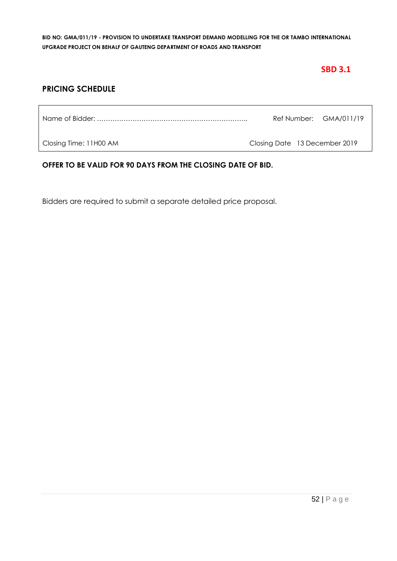# **SBD 3.1**

# **PRICING SCHEDULE**

|                        |                               | Ref Number: GMA/011/19 |
|------------------------|-------------------------------|------------------------|
| Closing Time: 11H00 AM | Closing Date 13 December 2019 |                        |

# **OFFER TO BE VALID FOR 90 DAYS FROM THE CLOSING DATE OF BID.**

Bidders are required to submit a separate detailed price proposal.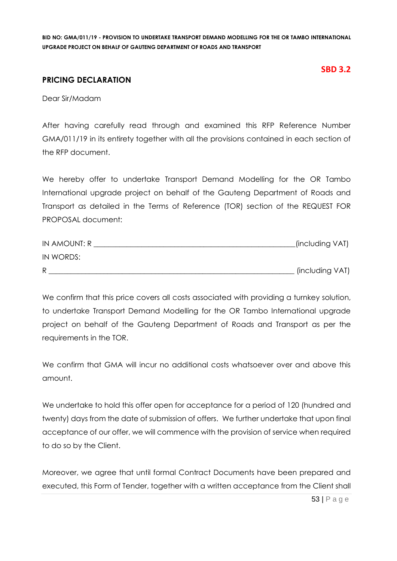# **PRICING DECLARATION**

# **SBD 3.2**

Dear Sir/Madam

After having carefully read through and examined this RFP Reference Number GMA/011/19 in its entirety together with all the provisions contained in each section of the RFP document.

We hereby offer to undertake Transport Demand Modelling for the OR Tambo International upgrade project on behalf of the Gauteng Department of Roads and Transport as detailed in the Terms of Reference (TOR) section of the REQUEST FOR PROPOSAL document:

| IN AMOUNT: R | .(including VAT) |
|--------------|------------------|
| IN WORDS:    |                  |
| R            | (including VAT)  |

We confirm that this price covers all costs associated with providing a turnkey solution, to undertake Transport Demand Modelling for the OR Tambo International upgrade project on behalf of the Gauteng Department of Roads and Transport as per the requirements in the TOR.

We confirm that GMA will incur no additional costs whatsoever over and above this amount.

We undertake to hold this offer open for acceptance for a period of 120 (hundred and twenty) days from the date of submission of offers. We further undertake that upon final acceptance of our offer, we will commence with the provision of service when required to do so by the Client.

Moreover, we agree that until formal Contract Documents have been prepared and executed, this Form of Tender, together with a written acceptance from the Client shall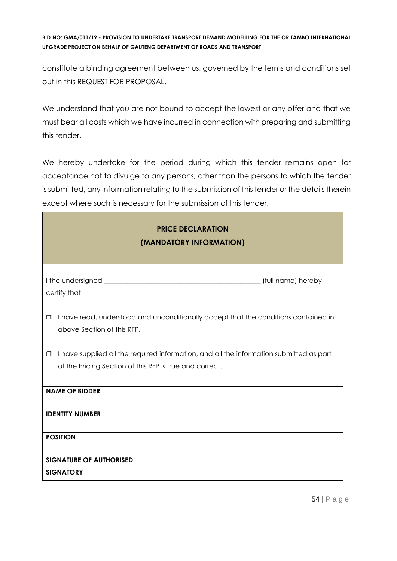constitute a binding agreement between us, governed by the terms and conditions set out in this REQUEST FOR PROPOSAL.

We understand that you are not bound to accept the lowest or any offer and that we must bear all costs which we have incurred in connection with preparing and submitting this tender.

We hereby undertake for the period during which this tender remains open for acceptance not to divulge to any persons, other than the persons to which the tender is submitted, any information relating to the submission of this tender or the details therein except where such is necessary for the submission of this tender.

| <b>PRICE DECLARATION</b><br>(MANDATORY INFORMATION)                                                                                                          |  |  |  |  |  |
|--------------------------------------------------------------------------------------------------------------------------------------------------------------|--|--|--|--|--|
| certify that:                                                                                                                                                |  |  |  |  |  |
| I have read, understood and unconditionally accept that the conditions contained in<br>$\Box$<br>above Section of this RFP.                                  |  |  |  |  |  |
| I have supplied all the required information, and all the information submitted as part<br>$\Box$<br>of the Pricing Section of this RFP is true and correct. |  |  |  |  |  |
| <b>NAME OF BIDDER</b>                                                                                                                                        |  |  |  |  |  |
| <b>IDENTITY NUMBER</b>                                                                                                                                       |  |  |  |  |  |
| <b>POSITION</b>                                                                                                                                              |  |  |  |  |  |
| <b>SIGNATURE OF AUTHORISED</b><br><b>SIGNATORY</b>                                                                                                           |  |  |  |  |  |

٦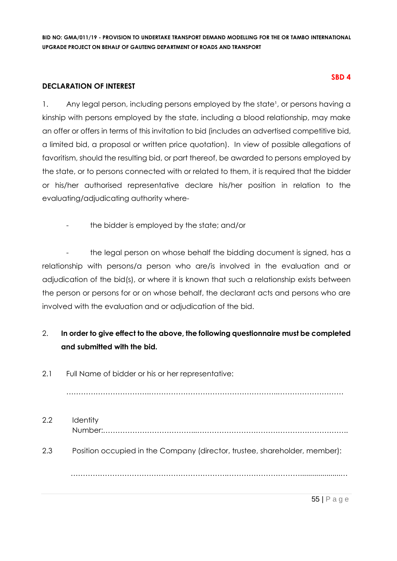#### **DECLARATION OF INTEREST**

1. Any legal person, including persons employed by the state<sup>1</sup>, or persons having a kinship with persons employed by the state, including a blood relationship, may make an offer or offers in terms of this invitation to bid (includes an advertised competitive bid, a limited bid, a proposal or written price quotation). In view of possible allegations of favoritism, should the resulting bid, or part thereof, be awarded to persons employed by the state, or to persons connected with or related to them, it is required that the bidder or his/her authorised representative declare his/her position in relation to the evaluating/adjudicating authority where-

the bidder is employed by the state; and/or

the legal person on whose behalf the bidding document is signed, has a relationship with persons/a person who are/is involved in the evaluation and or adjudication of the bid(s), or where it is known that such a relationship exists between the person or persons for or on whose behalf, the declarant acts and persons who are involved with the evaluation and or adjudication of the bid.

# 2. **In order to give effect to the above, the following questionnaire must be completed and submitted with the bid.**

2.1 Full Name of bidder or his or her representative:

…………………………….……………………………………………..………………………

2.2 Identity Number:………………………………...…………………………………………………….. 2.3 Position occupied in the Company (director, trustee, shareholder, member): ……………………………………………………….…………………………....................…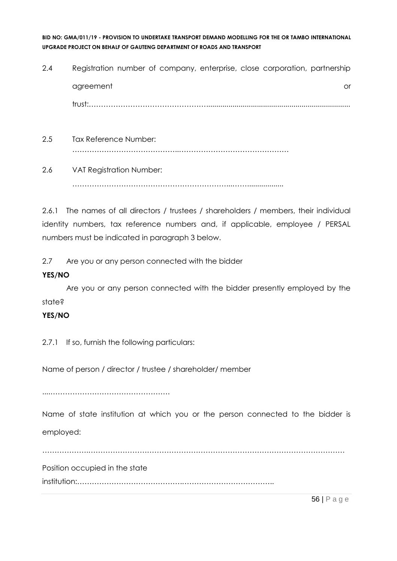- 2.4 Registration number of company, enterprise, close corporation, partnership agreement or and a structure or an analysis of the structure or an analysis of the structure or or  $\alpha$ trust:…………………………………………....................................................................... 2.5 Tax Reference Number: ……………………………………..………………………………………
- 2.6 VAT Registration Number: ………………………………………………………...……..................

2.6.1 The names of all directors / trustees / shareholders / members, their individual identity numbers, tax reference numbers and, if applicable, employee / PERSAL numbers must be indicated in paragraph 3 below.

2.7 Are you or any person connected with the bidder

# **YES/NO**

Are you or any person connected with the bidder presently employed by the state?

# **YES/NO**

2.7.1 If so, furnish the following particulars:

Name of person / director / trustee / shareholder/ member

....………………………………………….

Name of state institution at which you or the person connected to the bidder is employed:

……………….……………………………………………………………………………………………

Position occupied in the state

institution:…………………………………….………………………………..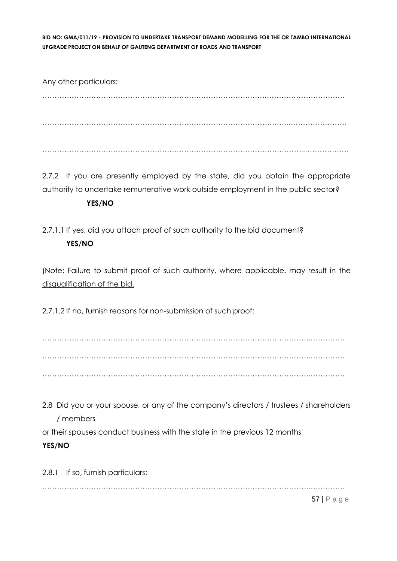Any other particulars: ……………………………………………………………………………….…………………………… ………………………………………………………………………………………..…………………… ……………………………………………………………………………………………...………………

2.7.2 If you are presently employed by the state, did you obtain the appropriate authority to undertake remunerative work outside employment in the public sector?

# **YES/NO**

2.7.1.1 If yes, did you attach proof of such authority to the bid document? **YES/NO**

(Note: Failure to submit proof of such authority, where applicable, may result in the disqualification of the bid.

2.7.1.2 If no, furnish reasons for non-submission of such proof:

……………………………………………………………………………………………….…………… ……………………………………………………………………………………………….…………… ……………………………………………………………………………………………….……………

2.8 Did you or your spouse, or any of the company's directors / trustees / shareholders / members

or their spouses conduct business with the state in the previous 12 months

# **YES/NO**

2.8.1 If so, furnish particulars: ……………………………………………………………………………………………….……………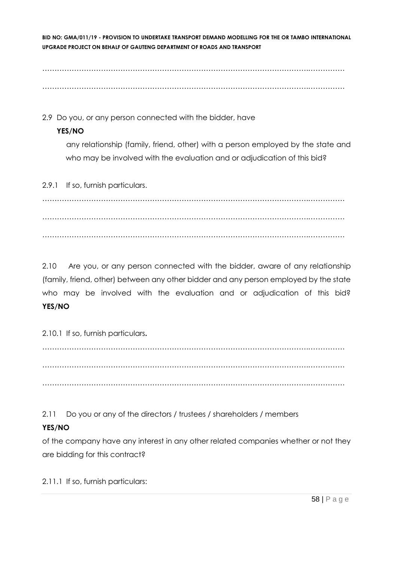……………………………………………………………………………………………….…………… ……………………………………………………………………………………………….……………

2.9 Do you, or any person connected with the bidder, have

# **YES/NO**

any relationship (family, friend, other) with a person employed by the state and who may be involved with the evaluation and or adjudication of this bid?

2.9.1 If so, furnish particulars.

……………………………………………………………………………………………….…………… ……………………………………………………………………………………………….…………… ……………………………………………………………………………………………….……………

2.10 Are you, or any person connected with the bidder, aware of any relationship (family, friend, other) between any other bidder and any person employed by the state who may be involved with the evaluation and or adjudication of this bid? **YES/NO**

2.10.1 If so, furnish particulars**.**

……………………………………………………………………………………………….…………… ……………………………………………………………………………………………….…………… ……………………………………………………………………………………………….……………

2.11 Do you or any of the directors / trustees / shareholders / members

# **YES/NO**

of the company have any interest in any other related companies whether or not they are bidding for this contract?

2.11.1 If so, furnish particulars: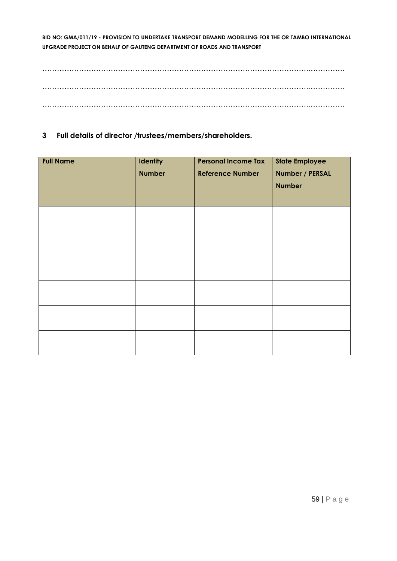……………………………………………………………………………………………….…………… ……………………………………………………………………………………………….…………… ……………………………………………………………………………………………….……………

**3 Full details of director /trustees/members/shareholders.**

| <b>Full Name</b> | <b>Identity</b><br><b>Number</b> | <b>Personal Income Tax</b><br><b>Reference Number</b> | <b>State Employee</b><br>Number / PERSAL<br><b>Number</b> |
|------------------|----------------------------------|-------------------------------------------------------|-----------------------------------------------------------|
|                  |                                  |                                                       |                                                           |
|                  |                                  |                                                       |                                                           |
|                  |                                  |                                                       |                                                           |
|                  |                                  |                                                       |                                                           |
|                  |                                  |                                                       |                                                           |
|                  |                                  |                                                       |                                                           |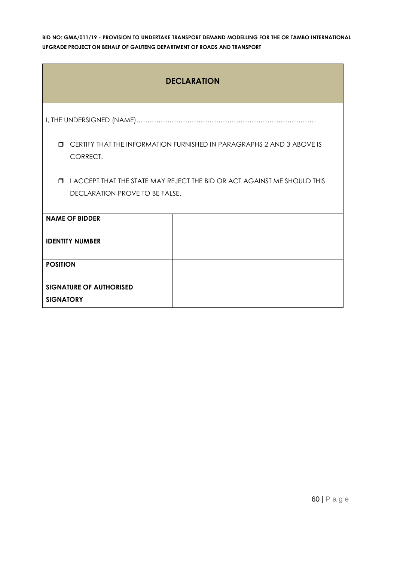| <b>DECLARATION</b>                                                                          |                                                                          |  |  |
|---------------------------------------------------------------------------------------------|--------------------------------------------------------------------------|--|--|
|                                                                                             |                                                                          |  |  |
| $\Box$<br>CERTIFY THAT THE INFORMATION FURNISHED IN PARAGRAPHS 2 AND 3 ABOVE IS<br>CORRECT. |                                                                          |  |  |
| $\Box$                                                                                      | I ACCEPT THAT THE STATE MAY REJECT THE BID OR ACT AGAINST ME SHOULD THIS |  |  |
| DECLARATION PROVE TO BE FALSE.                                                              |                                                                          |  |  |
| <b>NAME OF BIDDER</b>                                                                       |                                                                          |  |  |
| <b>IDENTITY NUMBER</b>                                                                      |                                                                          |  |  |
| <b>POSITION</b>                                                                             |                                                                          |  |  |
| <b>SIGNATURE OF AUTHORISED</b>                                                              |                                                                          |  |  |
| <b>SIGNATORY</b>                                                                            |                                                                          |  |  |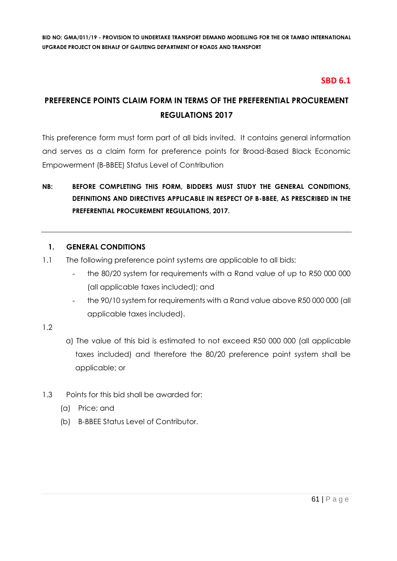# **SBD 6.1**

# **PREFERENCE POINTS CLAIM FORM IN TERMS OF THE PREFERENTIAL PROCUREMENT REGULATIONS 2017**

This preference form must form part of all bids invited. It contains general information and serves as a claim form for preference points for Broad-Based Black Economic Empowerment (B-BBEE) Status Level of Contribution

# **NB: BEFORE COMPLETING THIS FORM, BIDDERS MUST STUDY THE GENERAL CONDITIONS, DEFINITIONS AND DIRECTIVES APPLICABLE IN RESPECT OF B-BBEE, AS PRESCRIBED IN THE PREFERENTIAL PROCUREMENT REGULATIONS, 2017.**

# **1. GENERAL CONDITIONS**

- 1.1 The following preference point systems are applicable to all bids:
	- the 80/20 system for requirements with a Rand value of up to R50 000 000 (all applicable taxes included); and
	- the 90/10 system for requirements with a Rand value above R50 000 000 (all applicable taxes included).

# 1.2

- a) The value of this bid is estimated to not exceed R50 000 000 (all applicable taxes included) and therefore the 80/20 preference point system shall be applicable; or
- 1.3 Points for this bid shall be awarded for:
	- (a) Price; and
	- (b) B-BBEE Status Level of Contributor.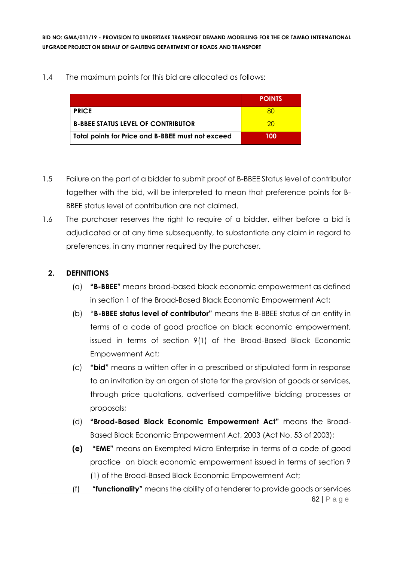1.4 The maximum points for this bid are allocated as follows:

|                                                   | <b>POINTS</b> |
|---------------------------------------------------|---------------|
| <b>PRICE</b>                                      |               |
| <b>B-BBEE STATUS LEVEL OF CONTRIBUTOR</b>         | 20.           |
| Total points for Price and B-BBEE must not exceed | 100           |

- 1.5 Failure on the part of a bidder to submit proof of B-BBEE Status level of contributor together with the bid, will be interpreted to mean that preference points for B-BBEE status level of contribution are not claimed.
- 1.6 The purchaser reserves the right to require of a bidder, either before a bid is adjudicated or at any time subsequently, to substantiate any claim in regard to preferences, in any manner required by the purchaser.

# **2. DEFINITIONS**

- (a) **"B-BBEE"** means broad-based black economic empowerment as defined in section 1 of the Broad-Based Black Economic Empowerment Act;
- (b) "**B-BBEE status level of contributor"** means the B-BBEE status of an entity in terms of a code of good practice on black economic empowerment, issued in terms of section 9(1) of the Broad-Based Black Economic Empowerment Act;
- (c) **"bid"** means a written offer in a prescribed or stipulated form in response to an invitation by an organ of state for the provision of goods or services, through price quotations, advertised competitive bidding processes or proposals;
- (d) **"Broad-Based Black Economic Empowerment Act"** means the Broad-Based Black Economic Empowerment Act, 2003 (Act No. 53 of 2003);
- **(e) "EME"** means an Exempted Micro Enterprise in terms of a code of good practice on black economic empowerment issued in terms of section 9 (1) of the Broad-Based Black Economic Empowerment Act;
- 62 | P a g e (f) **"functionality"** means the ability of a tenderer to provide goods or services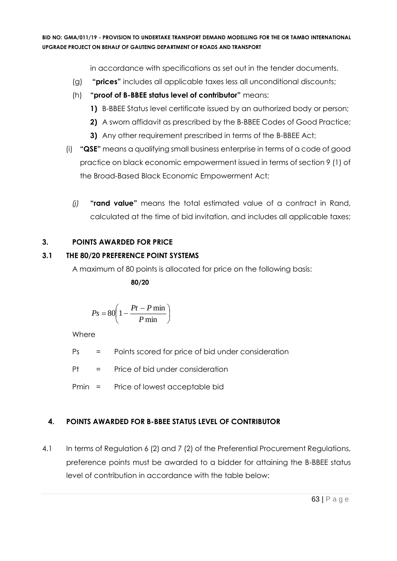in accordance with specifications as set out in the tender documents.

- (g) **"prices"** includes all applicable taxes less all unconditional discounts;
- (h) **"proof of B-BBEE status level of contributor"** means:
	- **1)** B-BBEE Status level certificate issued by an authorized body or person;
	- **2)** A sworn affidavit as prescribed by the B-BBEE Codes of Good Practice;
	- **3)** Any other requirement prescribed in terms of the B-BBEE Act;
- (i) **"QSE"** means a qualifying small business enterprise in terms of a code of good practice on black economic empowerment issued in terms of section 9 (1) of the Broad-Based Black Economic Empowerment Act;
	- *(j)* **"rand value"** means the total estimated value of a contract in Rand, calculated at the time of bid invitation, and includes all applicable taxes;

# **3. POINTS AWARDED FOR PRICE**

# **3.1 THE 80/20 PREFERENCE POINT SYSTEMS**

A maximum of 80 points is allocated for price on the following basis:

 **80/20**

$$
Ps = 80 \left( 1 - \frac{Pt - P \min}{P \min} \right)
$$

Where

Ps = Points scored for price of bid under consideration

Pt = Price of bid under consideration

Pmin = Price of lowest acceptable bid

# **4. POINTS AWARDED FOR B-BBEE STATUS LEVEL OF CONTRIBUTOR**

4.1 In terms of Regulation 6 (2) and 7 (2) of the Preferential Procurement Regulations, preference points must be awarded to a bidder for attaining the B-BBEE status level of contribution in accordance with the table below: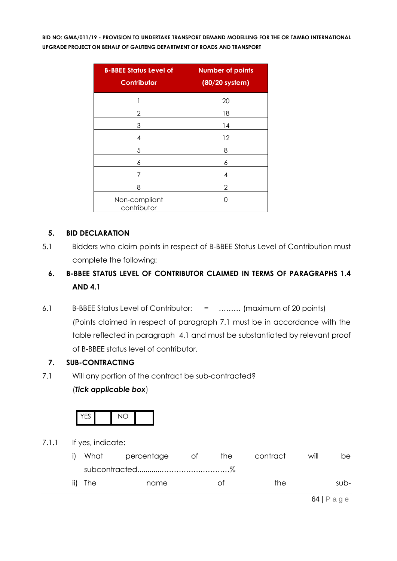| <b>B-BBEE Status Level of</b><br><b>Contributor</b> | <b>Number of points</b><br>(80/20 system) |
|-----------------------------------------------------|-------------------------------------------|
| 1                                                   | 20                                        |
| 2                                                   | 18                                        |
| 3                                                   | 14                                        |
| 4                                                   | 12                                        |
| 5                                                   | 8                                         |
| 6                                                   | 6                                         |
| 7                                                   | 4                                         |
| 8                                                   | 2                                         |
| Non-compliant<br>contributor                        |                                           |

# **5. BID DECLARATION**

5.1 Bidders who claim points in respect of B-BBEE Status Level of Contribution must complete the following:

# **6. B-BBEE STATUS LEVEL OF CONTRIBUTOR CLAIMED IN TERMS OF PARAGRAPHS 1.4 AND 4.1**

6.1 B-BBEE Status Level of Contributor: = ……… (maximum of 20 points) (Points claimed in respect of paragraph 7.1 must be in accordance with the table reflected in paragraph 4.1 and must be substantiated by relevant proof of B-BBEE status level of contributor.

# **7. SUB-CONTRACTING**

7.1 Will any portion of the contract be sub-contracted?

# (*Tick applicable box*)



7.1.1 If yes, indicate:

| i) |         | What percentage | ot of | the | contract | will | be.  |
|----|---------|-----------------|-------|-----|----------|------|------|
|    |         |                 |       |     |          |      |      |
|    | ii) The | name            |       | ∩t  | the.     |      | sub- |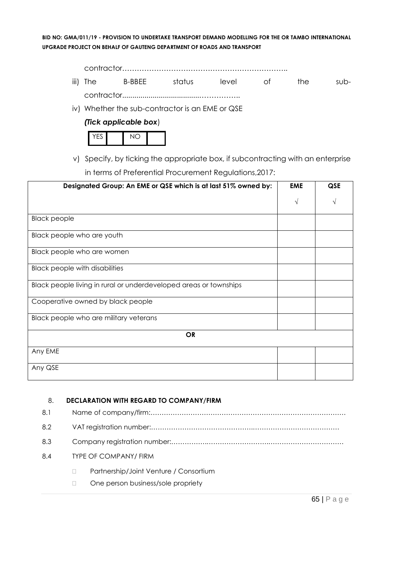contractor………………………………………………………….. iii) The B-BBEE status level of the subcontractor......................................……………..

iv) Whether the sub-contractor is an EME or QSE



v) Specify, by ticking the appropriate box, if subcontracting with an enterprise in terms of Preferential Procurement Regulations,2017:

| Designated Group: An EME or QSE which is at last 51% owned by:    |            | QSE |  |
|-------------------------------------------------------------------|------------|-----|--|
|                                                                   | $\sqrt{ }$ | V   |  |
| <b>Black people</b>                                               |            |     |  |
| Black people who are youth                                        |            |     |  |
| Black people who are women                                        |            |     |  |
| <b>Black people with disabilities</b>                             |            |     |  |
| Black people living in rural or underdeveloped areas or townships |            |     |  |
| Cooperative owned by black people                                 |            |     |  |
| Black people who are military veterans                            |            |     |  |
| <b>OR</b>                                                         |            |     |  |
| Any EME                                                           |            |     |  |
| Any QSE                                                           |            |     |  |

#### 8. **DECLARATION WITH REGARD TO COMPANY/FIRM**

| 8.1 |                                        |  |  |
|-----|----------------------------------------|--|--|
| 8.2 |                                        |  |  |
| 8.3 |                                        |  |  |
| 8.4 | <b>TYPE OF COMPANY/ FIRM</b>           |  |  |
|     | Partnership/Joint Venture / Consortium |  |  |
|     | One person business/sole propriety     |  |  |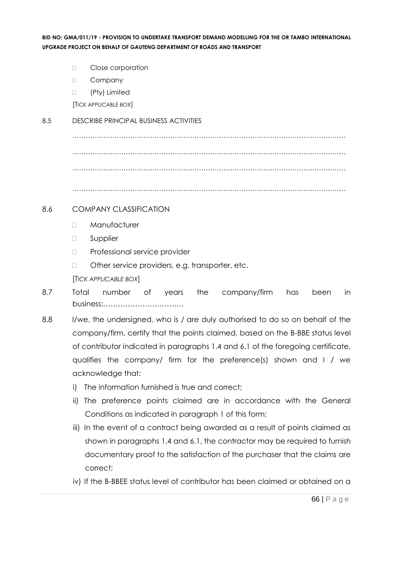- D Close corporation
- D Company
- □ (Pty) Limited

[TICK APPLICABLE BOX]

#### 8.5 DESCRIBE PRINCIPAL BUSINESS ACTIVITIES

…………………………………………………………………………………………………………… …………………………………………………………………………………………………………… ……………………………………………………………………………………………………………

……………………………………………………………………………………………………………

#### 8.6 COMPANY CLASSIFICATION

- Manufacturer
- **D** Supplier
- D Professional service provider
- □ Other service providers, e.g. transporter, etc.

[*TICK APPLICABLE BOX*]

- 8.7 Total number of years the company/firm has been in business:……………………………
- 8.8 I/we, the undersigned, who is / are duly authorised to do so on behalf of the company/firm, certify that the points claimed, based on the B-BBE status level of contributor indicated in paragraphs 1.4 and 6.1 of the foregoing certificate, qualifies the company/ firm for the preference(s) shown and I / we acknowledge that:
	- i) The information furnished is true and correct;
	- ii) The preference points claimed are in accordance with the General Conditions as indicated in paragraph 1 of this form;
	- iii) In the event of a contract being awarded as a result of points claimed as shown in paragraphs 1.4 and 6.1, the contractor may be required to furnish documentary proof to the satisfaction of the purchaser that the claims are correct;
	- iv) If the B-BBEE status level of contributor has been claimed or obtained on a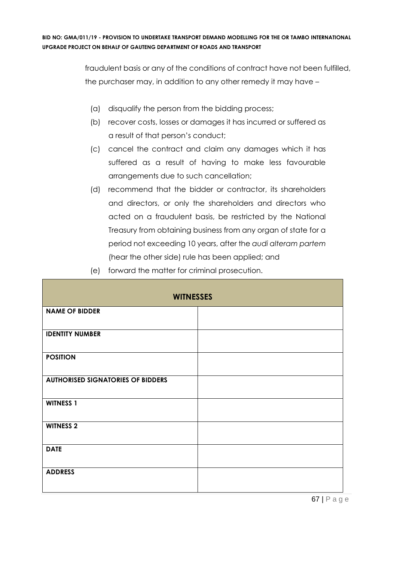fraudulent basis or any of the conditions of contract have not been fulfilled, the purchaser may, in addition to any other remedy it may have –

- (a) disqualify the person from the bidding process;
- (b) recover costs, losses or damages it has incurred or suffered as a result of that person's conduct;
- (c) cancel the contract and claim any damages which it has suffered as a result of having to make less favourable arrangements due to such cancellation;
- (d) recommend that the bidder or contractor, its shareholders and directors, or only the shareholders and directors who acted on a fraudulent basis, be restricted by the National Treasury from obtaining business from any organ of state for a period not exceeding 10 years, after the *audi alteram partem* (hear the other side) rule has been applied; and
- (e) forward the matter for criminal prosecution.

| <b>WITNESSES</b>                         |  |  |  |
|------------------------------------------|--|--|--|
| <b>NAME OF BIDDER</b>                    |  |  |  |
| <b>IDENTITY NUMBER</b>                   |  |  |  |
| <b>POSITION</b>                          |  |  |  |
| <b>AUTHORISED SIGNATORIES OF BIDDERS</b> |  |  |  |
| <b>WITNESS 1</b>                         |  |  |  |
| <b>WITNESS 2</b>                         |  |  |  |
| <b>DATE</b>                              |  |  |  |
| <b>ADDRESS</b>                           |  |  |  |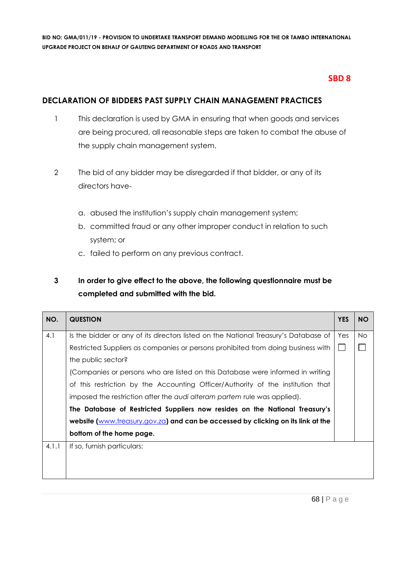# **SBD 8**

# **DECLARATION OF BIDDERS PAST SUPPLY CHAIN MANAGEMENT PRACTICES**

- 1 This declaration is used by GMA in ensuring that when goods and services are being procured, all reasonable steps are taken to combat the abuse of the supply chain management system.
- 2 The bid of any bidder may be disregarded if that bidder, or any of its directors have
	- a. abused the institution's supply chain management system;
	- b. committed fraud or any other improper conduct in relation to such system; or
	- c. failed to perform on any previous contract.

# **3 In order to give effect to the above, the following questionnaire must be completed and submitted with the bid.**

| NO.   | <b>QUESTION</b>                                                                     | <b>YES</b> | <b>NO</b> |
|-------|-------------------------------------------------------------------------------------|------------|-----------|
| 4.1   | Is the bidder or any of its directors listed on the National Treasury's Database of | Yes        | <b>No</b> |
|       | Restricted Suppliers as companies or persons prohibited from doing business with    |            |           |
|       | the public sector?                                                                  |            |           |
|       | (Companies or persons who are listed on this Database were informed in writing      |            |           |
|       | of this restriction by the Accounting Officer/Authority of the institution that     |            |           |
|       | imposed the restriction after the audi alteram partem rule was applied).            |            |           |
|       | The Database of Restricted Suppliers now resides on the National Treasury's         |            |           |
|       | website (www.treasury.gov.za) and can be accessed by clicking on its link at the    |            |           |
|       | bottom of the home page.                                                            |            |           |
| 4.1.1 | If so, furnish particulars:                                                         |            |           |
|       |                                                                                     |            |           |
|       |                                                                                     |            |           |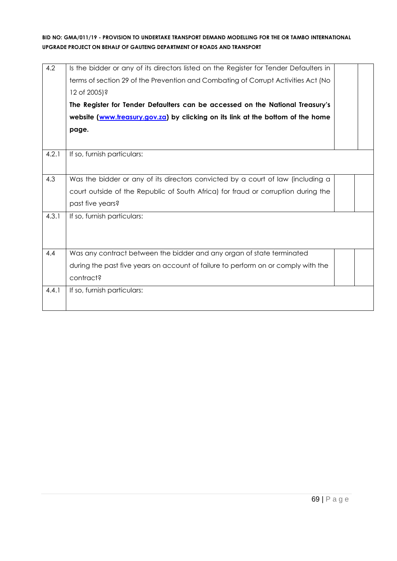| 4.2   | Is the bidder or any of its directors listed on the Register for Tender Defaulters in<br>terms of section 29 of the Prevention and Combating of Corrupt Activities Act (No<br>12 of 2005)?<br>The Register for Tender Defaulters can be accessed on the National Treasury's<br>website (www.treasury.gov.za) by clicking on its link at the bottom of the home<br>page. |  |
|-------|-------------------------------------------------------------------------------------------------------------------------------------------------------------------------------------------------------------------------------------------------------------------------------------------------------------------------------------------------------------------------|--|
| 4.2.1 | If so, furnish particulars:                                                                                                                                                                                                                                                                                                                                             |  |
| 4.3   | Was the bidder or any of its directors convicted by a court of law (including a<br>court outside of the Republic of South Africa) for fraud or corruption during the<br>past five years?                                                                                                                                                                                |  |
| 4.3.1 | If so, furnish particulars:                                                                                                                                                                                                                                                                                                                                             |  |
| 4.4   | Was any contract between the bidder and any organ of state terminated<br>during the past five years on account of failure to perform on or comply with the<br>contract?                                                                                                                                                                                                 |  |
| 4.4.1 | If so, furnish particulars:                                                                                                                                                                                                                                                                                                                                             |  |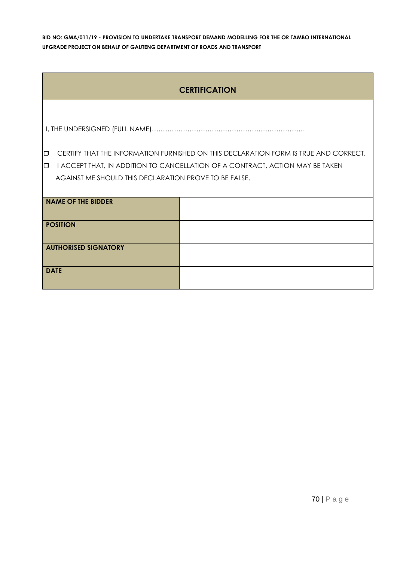|                             | <b>CERTIFICATION</b>                                  |                                                                                      |  |  |
|-----------------------------|-------------------------------------------------------|--------------------------------------------------------------------------------------|--|--|
|                             |                                                       |                                                                                      |  |  |
|                             |                                                       |                                                                                      |  |  |
| $\Box$                      |                                                       | CERTIFY THAT THE INFORMATION FURNISHED ON THIS DECLARATION FORM IS TRUE AND CORRECT. |  |  |
| $\Box$                      |                                                       | I ACCEPT THAT, IN ADDITION TO CANCELLATION OF A CONTRACT, ACTION MAY BE TAKEN        |  |  |
|                             | AGAINST ME SHOULD THIS DECLARATION PROVE TO BE FALSE. |                                                                                      |  |  |
|                             |                                                       |                                                                                      |  |  |
|                             | <b>NAME OF THE BIDDER</b>                             |                                                                                      |  |  |
|                             |                                                       |                                                                                      |  |  |
| <b>POSITION</b>             |                                                       |                                                                                      |  |  |
|                             |                                                       |                                                                                      |  |  |
| <b>AUTHORISED SIGNATORY</b> |                                                       |                                                                                      |  |  |
|                             |                                                       |                                                                                      |  |  |
| <b>DATE</b>                 |                                                       |                                                                                      |  |  |
|                             |                                                       |                                                                                      |  |  |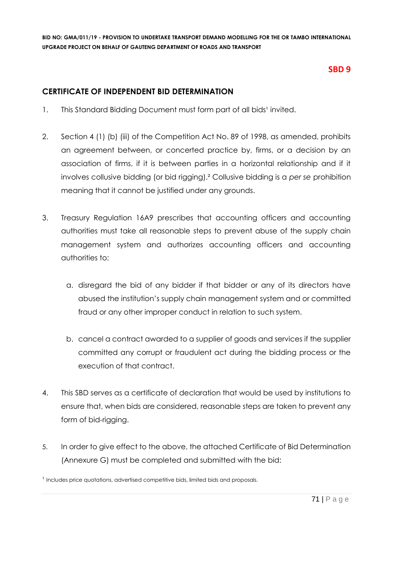# **SBD 9**

# **CERTIFICATE OF INDEPENDENT BID DETERMINATION**

- 1. This Standard Bidding Document must form part of all bids<sup>1</sup> invited.
- 2. Section 4 (1) (b) (iii) of the Competition Act No. 89 of 1998, as amended, prohibits an agreement between, or concerted practice by, firms, or a decision by an association of firms, if it is between parties in a horizontal relationship and if it involves collusive bidding (or bid rigging).² Collusive bidding is a *per se* prohibition meaning that it cannot be justified under any grounds.
- 3. Treasury Regulation 16A9 prescribes that accounting officers and accounting authorities must take all reasonable steps to prevent abuse of the supply chain management system and authorizes accounting officers and accounting authorities to:
	- a. disregard the bid of any bidder if that bidder or any of its directors have abused the institution's supply chain management system and or committed fraud or any other improper conduct in relation to such system.
	- b. cancel a contract awarded to a supplier of goods and services if the supplier committed any corrupt or fraudulent act during the bidding process or the execution of that contract.
- 4. This SBD serves as a certificate of declaration that would be used by institutions to ensure that, when bids are considered, reasonable steps are taken to prevent any form of bid-rigging.
- 5. In order to give effect to the above, the attached Certificate of Bid Determination (Annexure G) must be completed and submitted with the bid:

<sup>&</sup>lt;sup>1</sup> Includes price quotations, advertised competitive bids, limited bids and proposals.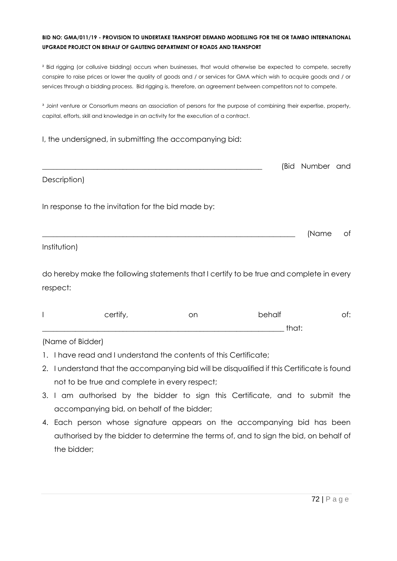² Bid rigging (or collusive bidding) occurs when businesses, that would otherwise be expected to compete, secretly conspire to raise prices or lower the quality of goods and / or services for GMA which wish to acquire goods and / or services through a bidding process. Bid rigging is, therefore, an agreement between competitors not to compete.

<sup>3</sup> Joint venture or Consortium means an association of persons for the purpose of combining their expertise, property, capital, efforts, skill and knowledge in an activity for the execution of a contract.

I, the undersigned, in submitting the accompanying bid:

|                                                    | (Bid Number and |    |
|----------------------------------------------------|-----------------|----|
| Description)                                       |                 |    |
| In response to the invitation for the bid made by: |                 |    |
|                                                    | (Name           | of |
| Institution)                                       |                 |    |

do hereby make the following statements that I certify to be true and complete in every respect:

| certify | on | behalf     | . |
|---------|----|------------|---|
|         |    | +la ∼+<br> |   |

# (Name of Bidder)

- 1. I have read and I understand the contents of this Certificate;
- 2. I understand that the accompanying bid will be disqualified if this Certificate is found not to be true and complete in every respect;
- 3. I am authorised by the bidder to sign this Certificate, and to submit the accompanying bid, on behalf of the bidder;
- 4. Each person whose signature appears on the accompanying bid has been authorised by the bidder to determine the terms of, and to sign the bid, on behalf of the bidder;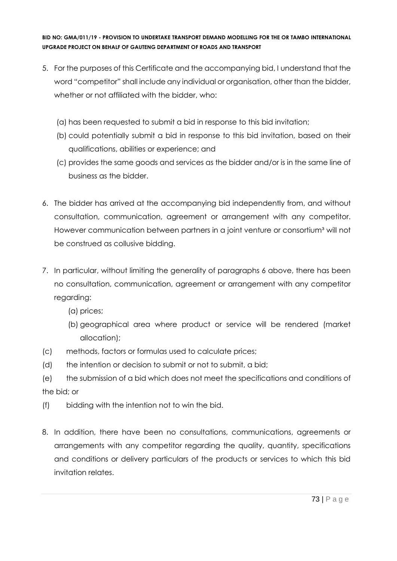- 5. For the purposes of this Certificate and the accompanying bid, I understand that the word "competitor" shall include any individual or organisation, other than the bidder, whether or not affiliated with the bidder, who:
	- (a) has been requested to submit a bid in response to this bid invitation;
	- (b) could potentially submit a bid in response to this bid invitation, based on their qualifications, abilities or experience; and
	- (c) provides the same goods and services as the bidder and/or is in the same line of business as the bidder.
- 6. The bidder has arrived at the accompanying bid independently from, and without consultation, communication, agreement or arrangement with any competitor. However communication between partners in a joint venture or consortium<sup>3</sup> will not be construed as collusive bidding.
- 7. In particular, without limiting the generality of paragraphs 6 above, there has been no consultation, communication, agreement or arrangement with any competitor regarding:
	- (a) prices;
	- (b) geographical area where product or service will be rendered (market allocation);
- (c) methods, factors or formulas used to calculate prices;
- (d) the intention or decision to submit or not to submit, a bid;
- (e) the submission of a bid which does not meet the specifications and conditions of the bid; or
- (f) bidding with the intention not to win the bid.
- 8. In addition, there have been no consultations, communications, agreements or arrangements with any competitor regarding the quality, quantity, specifications and conditions or delivery particulars of the products or services to which this bid invitation relates.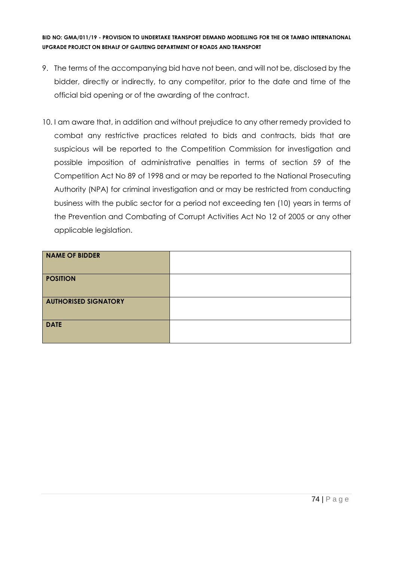- 9. The terms of the accompanying bid have not been, and will not be, disclosed by the bidder, directly or indirectly, to any competitor, prior to the date and time of the official bid opening or of the awarding of the contract.
- 10. I am aware that, in addition and without prejudice to any other remedy provided to combat any restrictive practices related to bids and contracts, bids that are suspicious will be reported to the Competition Commission for investigation and possible imposition of administrative penalties in terms of section 59 of the Competition Act No 89 of 1998 and or may be reported to the National Prosecuting Authority (NPA) for criminal investigation and or may be restricted from conducting business with the public sector for a period not exceeding ten (10) years in terms of the Prevention and Combating of Corrupt Activities Act No 12 of 2005 or any other applicable legislation.

| <b>NAME OF BIDDER</b>       |  |
|-----------------------------|--|
| <b>POSITION</b>             |  |
| <b>AUTHORISED SIGNATORY</b> |  |
| <b>DATE</b>                 |  |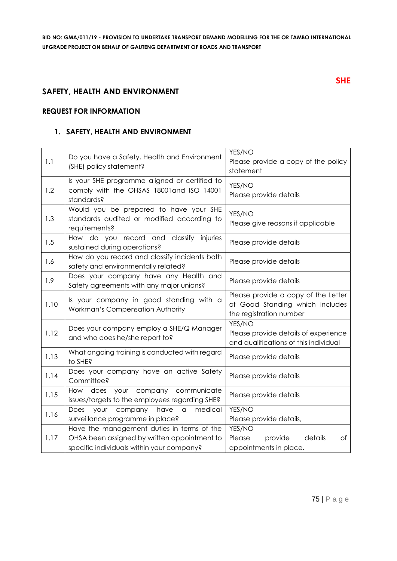# **SAFETY, HEALTH AND ENVIRONMENT**

#### **REQUEST FOR INFORMATION**

#### **1. SAFETY, HEALTH AND ENVIRONMENT**

| 1.1  | Do you have a Safety, Health and Environment<br>(SHE) policy statement?                                                                 | YES/NO<br>Please provide a copy of the policy<br>statement                                        |
|------|-----------------------------------------------------------------------------------------------------------------------------------------|---------------------------------------------------------------------------------------------------|
| 1.2  | Is your SHE programme aligned or certified to<br>comply with the OHSAS 18001 and ISO 14001<br>standards?                                | YES/NO<br>Please provide details                                                                  |
| 1.3  | Would you be prepared to have your SHE<br>standards audited or modified according to<br>requirements?                                   | YES/NO<br>Please give reasons if applicable                                                       |
| 1.5  | How do you record and classify injuries<br>sustained during operations?                                                                 | Please provide details                                                                            |
| 1.6  | How do you record and classify incidents both<br>safety and environmentally related?                                                    | Please provide details                                                                            |
| 1.9  | Does your company have any Health and<br>Safety agreements with any major unions?                                                       | Please provide details                                                                            |
| 1.10 | Is your company in good standing with a<br>Workman's Compensation Authority                                                             | Please provide a copy of the Letter<br>of Good Standing which includes<br>the registration number |
| 1.12 | Does your company employ a SHE/Q Manager<br>and who does he/she report to?                                                              | YES/NO<br>Please provide details of experience<br>and qualifications of this individual           |
| 1.13 | What ongoing training is conducted with regard<br>to SHE?                                                                               | Please provide details                                                                            |
| 1.14 | Does your company have an active Safety<br>Committee?                                                                                   | Please provide details                                                                            |
| 1.15 | your company communicate<br>How does<br>issues/targets to the employees regarding SHE?                                                  | Please provide details                                                                            |
| 1.16 | medical<br>Does<br>your<br>company<br>have<br>$\hbox{\tt C}$<br>surveillance programme in place?                                        | YES/NO<br>Please provide details,                                                                 |
| 1.17 | Have the management duties in terms of the<br>OHSA been assigned by written appointment to<br>specific individuals within your company? | YES/NO<br>details<br>Please<br>provide<br>оf<br>appointments in place.                            |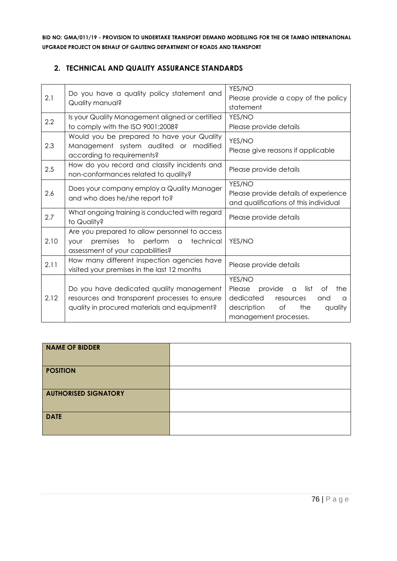## **2. TECHNICAL AND QUALITY ASSURANCE STANDARDS**

| 2.1  | Do you have a quality policy statement and<br>Quality manual?                                                                             | YES/NO<br>Please provide a copy of the policy<br>statement                                                                                                      |
|------|-------------------------------------------------------------------------------------------------------------------------------------------|-----------------------------------------------------------------------------------------------------------------------------------------------------------------|
| 2.2  | Is your Quality Management aligned or certified<br>to comply with the ISO 9001:2008?                                                      | YES/NO<br>Please provide details                                                                                                                                |
| 2.3  | Would you be prepared to have your Quality<br>Management system audited or modified<br>according to requirements?                         | YES/NO<br>Please give reasons if applicable                                                                                                                     |
| 2.5  | How do you record and classify incidents and<br>non-conformances related to quality?                                                      | Please provide details                                                                                                                                          |
| 2.6  | Does your company employ a Quality Manager<br>and who does he/she report to?                                                              | YES/NO<br>Please provide details of experience<br>and qualifications of this individual                                                                         |
| 2.7  | What ongoing training is conducted with regard<br>to Quality?                                                                             | Please provide details                                                                                                                                          |
| 2.10 | Are you prepared to allow personnel to access<br>premises to perform a<br>technical<br>vour<br>assessment of your capabilities?           | YES/NO                                                                                                                                                          |
| 2.11 | How many different inspection agencies have<br>visited your premises in the last 12 months                                                | Please provide details                                                                                                                                          |
| 2.12 | Do you have dedicated quality management<br>resources and transparent processes to ensure<br>quality in procured materials and equipment? | YES/NO<br>provide<br>Please<br>list<br>the<br>Οf<br>$\alpha$<br>dedicated<br>resources<br>and<br>a<br>description of<br>the<br>quality<br>management processes. |

| <b>NAME OF BIDDER</b>       |  |
|-----------------------------|--|
| <b>POSITION</b>             |  |
| <b>AUTHORISED SIGNATORY</b> |  |
| <b>DATE</b>                 |  |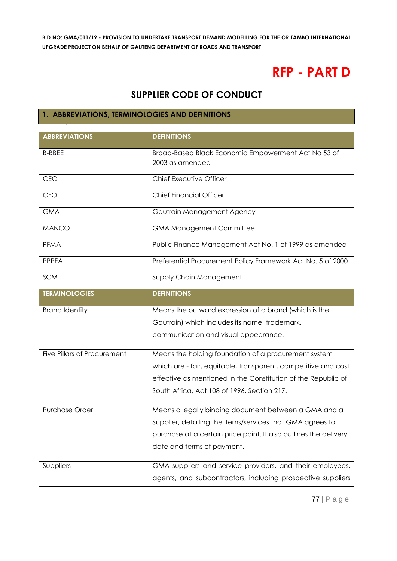# **RFP - PART D**

# **SUPPLIER CODE OF CONDUCT**

# **1. ABBREVIATIONS, TERMINOLOGIES AND DEFINITIONS**

| <b>ABBREVIATIONS</b>        | <b>DEFINITIONS</b>                                               |
|-----------------------------|------------------------------------------------------------------|
| <b>B-BBEE</b>               | Broad-Based Black Economic Empowerment Act No 53 of              |
|                             | 2003 as amended                                                  |
| CEO                         | Chief Executive Officer                                          |
| <b>CFO</b>                  | <b>Chief Financial Officer</b>                                   |
| <b>GMA</b>                  | Gautrain Management Agency                                       |
| <b>MANCO</b>                | <b>GMA Management Committee</b>                                  |
| <b>PFMA</b>                 | Public Finance Management Act No. 1 of 1999 as amended           |
| <b>PPPFA</b>                | Preferential Procurement Policy Framework Act No. 5 of 2000      |
| <b>SCM</b>                  | Supply Chain Management                                          |
| <b>TERMINOLOGIES</b>        | <b>DEFINITIONS</b>                                               |
| <b>Brand Identity</b>       | Means the outward expression of a brand (which is the            |
|                             | Gautrain) which includes its name, trademark,                    |
|                             | communication and visual appearance.                             |
|                             |                                                                  |
| Five Pillars of Procurement | Means the holding foundation of a procurement system             |
|                             | which are - fair, equitable, transparent, competitive and cost   |
|                             | effective as mentioned in the Constitution of the Republic of    |
|                             | South Africa, Act 108 of 1996, Section 217.                      |
| <b>Purchase Order</b>       | Means a legally binding document between a GMA and a             |
|                             | Supplier, detailing the items/services that GMA agrees to        |
|                             | purchase at a certain price point. It also outlines the delivery |
|                             | date and terms of payment.                                       |
| Suppliers                   | GMA suppliers and service providers, and their employees,        |
|                             | agents, and subcontractors, including prospective suppliers      |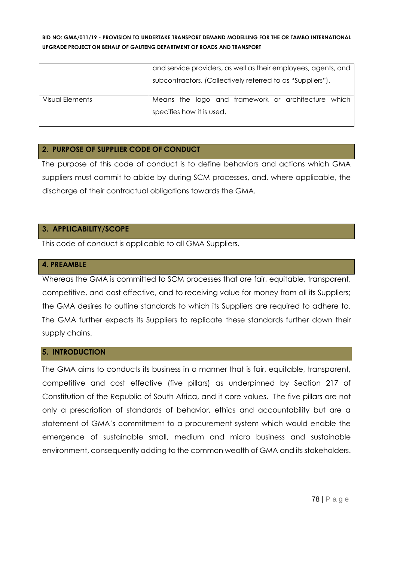|                 | and service providers, as well as their employees, agents, and |  |
|-----------------|----------------------------------------------------------------|--|
|                 | subcontractors. (Collectively referred to as "Suppliers").     |  |
| Visual Elements | Means the logo and framework or architecture which             |  |
|                 | specifies how it is used.                                      |  |
|                 |                                                                |  |

# **2. PURPOSE OF SUPPLIER CODE OF CONDUCT**

The purpose of this code of conduct is to define behaviors and actions which GMA suppliers must commit to abide by during SCM processes, and, where applicable, the discharge of their contractual obligations towards the GMA.

#### **3. APPLICABILITY/SCOPE**

This code of conduct is applicable to all GMA Suppliers.

#### **4. PREAMBLE**

Whereas the GMA is committed to SCM processes that are fair, equitable, transparent, competitive, and cost effective, and to receiving value for money from all its Suppliers; the GMA desires to outline standards to which its Suppliers are required to adhere to. The GMA further expects its Suppliers to replicate these standards further down their supply chains.

# **5. INTRODUCTION**

The GMA aims to conducts its business in a manner that is fair, equitable, transparent, competitive and cost effective (five pillars) as underpinned by Section 217 of Constitution of the Republic of South Africa, and it core values. The five pillars are not only a prescription of standards of behavior, ethics and accountability but are a statement of GMA's commitment to a procurement system which would enable the emergence of sustainable small, medium and micro business and sustainable environment, consequently adding to the common wealth of GMA and its stakeholders.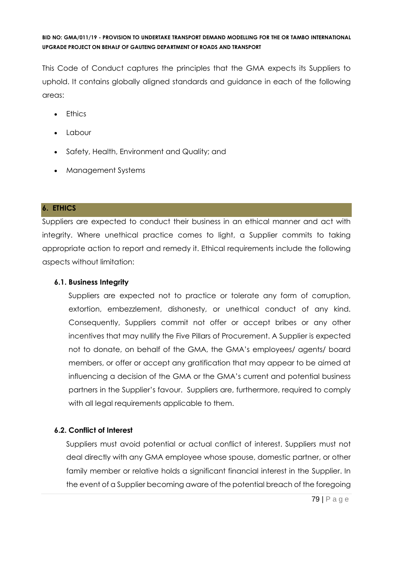This Code of Conduct captures the principles that the GMA expects its Suppliers to uphold. It contains globally aligned standards and guidance in each of the following areas:

- Ethics
- Labour
- Safety, Health, Environment and Quality; and
- Management Systems

# **6. ETHICS**

Suppliers are expected to conduct their business in an ethical manner and act with integrity. Where unethical practice comes to light, a Supplier commits to taking appropriate action to report and remedy it. Ethical requirements include the following aspects without limitation:

# **6.1. Business Integrity**

Suppliers are expected not to practice or tolerate any form of corruption, extortion, embezzlement, dishonesty, or unethical conduct of any kind. Consequently, Suppliers commit not offer or accept bribes or any other incentives that may nullify the Five Pillars of Procurement. A Supplier is expected not to donate, on behalf of the GMA, the GMA's employees/ agents/ board members, or offer or accept any gratification that may appear to be aimed at influencing a decision of the GMA or the GMA's current and potential business partners in the Supplier's favour. Suppliers are, furthermore, required to comply with all legal requirements applicable to them.

# **6.2. Conflict of Interest**

Suppliers must avoid potential or actual conflict of interest. Suppliers must not deal directly with any GMA employee whose spouse, domestic partner, or other family member or relative holds a significant financial interest in the Supplier. In the event of a Supplier becoming aware of the potential breach of the foregoing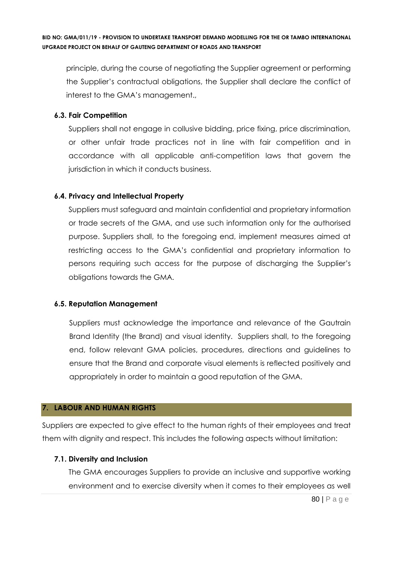principle, during the course of negotiating the Supplier agreement or performing the Supplier's contractual obligations, the Supplier shall declare the conflict of interest to the GMA's management.,

#### **6.3. Fair Competition**

Suppliers shall not engage in collusive bidding, price fixing, price discrimination, or other unfair trade practices not in line with fair competition and in accordance with all applicable anti-competition laws that govern the jurisdiction in which it conducts business.

### **6.4. Privacy and Intellectual Property**

Suppliers must safeguard and maintain confidential and proprietary information or trade secrets of the GMA, and use such information only for the authorised purpose. Suppliers shall, to the foregoing end, implement measures aimed at restricting access to the GMA's confidential and proprietary information to persons requiring such access for the purpose of discharging the Supplier's obligations towards the GMA.

#### **6.5. Reputation Management**

Suppliers must acknowledge the importance and relevance of the Gautrain Brand Identity (the Brand) and visual identity. Suppliers shall, to the foregoing end, follow relevant GMA policies, procedures, directions and guidelines to ensure that the Brand and corporate visual elements is reflected positively and appropriately in order to maintain a good reputation of the GMA.

#### **7. LABOUR AND HUMAN RIGHTS**

Suppliers are expected to give effect to the human rights of their employees and treat them with dignity and respect. This includes the following aspects without limitation:

#### **7.1. Diversity and Inclusion**

The GMA encourages Suppliers to provide an inclusive and supportive working environment and to exercise diversity when it comes to their employees as well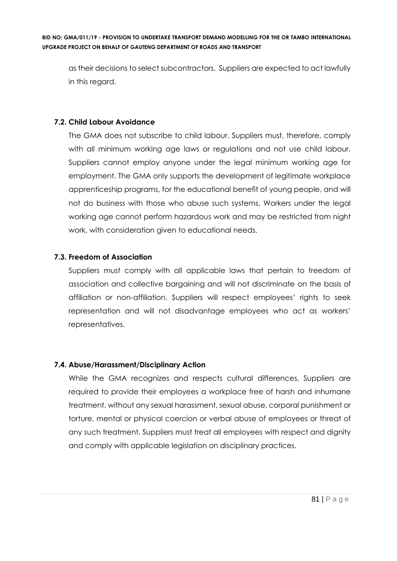as their decisions to select subcontractors. Suppliers are expected to act lawfully in this regard.

# **7.2. Child Labour Avoidance**

The GMA does not subscribe to child labour. Suppliers must, therefore, comply with all minimum working age laws or regulations and not use child labour. Suppliers cannot employ anyone under the legal minimum working age for employment. The GMA only supports the development of legitimate workplace apprenticeship programs, for the educational benefit of young people, and will not do business with those who abuse such systems. Workers under the legal working age cannot perform hazardous work and may be restricted from night work, with consideration given to educational needs.

### **7.3. Freedom of Association**

Suppliers must comply with all applicable laws that pertain to freedom of association and collective bargaining and will not discriminate on the basis of affiliation or non-affiliation. Suppliers will respect employees' rights to seek representation and will not disadvantage employees who act as workers' representatives.

#### **7.4. Abuse/Harassment/Disciplinary Action**

While the GMA recognizes and respects cultural differences, Suppliers are required to provide their employees a workplace free of harsh and inhumane treatment, without any sexual harassment, sexual abuse, corporal punishment or torture, mental or physical coercion or verbal abuse of employees or threat of any such treatment. Suppliers must treat all employees with respect and dignity and comply with applicable legislation on disciplinary practices.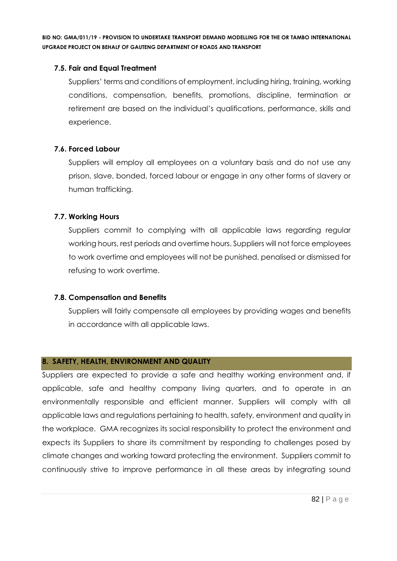## **7.5. Fair and Equal Treatment**

Suppliers' terms and conditions of employment, including hiring, training, working conditions, compensation, benefits, promotions, discipline, termination or retirement are based on the individual's qualifications, performance, skills and experience.

### **7.6. Forced Labour**

Suppliers will employ all employees on a voluntary basis and do not use any prison, slave, bonded, forced labour or engage in any other forms of slavery or human trafficking.

### **7.7. Working Hours**

Suppliers commit to complying with all applicable laws regarding regular working hours, rest periods and overtime hours. Suppliers will not force employees to work overtime and employees will not be punished, penalised or dismissed for refusing to work overtime.

# **7.8. Compensation and Benefits**

Suppliers will fairly compensate all employees by providing wages and benefits in accordance with all applicable laws.

## **8. SAFETY, HEALTH, ENVIRONMENT AND QUALITY**

Suppliers are expected to provide a safe and healthy working environment and, if applicable, safe and healthy company living quarters, and to operate in an environmentally responsible and efficient manner. Suppliers will comply with all applicable laws and regulations pertaining to health, safety, environment and quality in the workplace. GMA recognizes its social responsibility to protect the environment and expects its Suppliers to share its commitment by responding to challenges posed by climate changes and working toward protecting the environment. Suppliers commit to continuously strive to improve performance in all these areas by integrating sound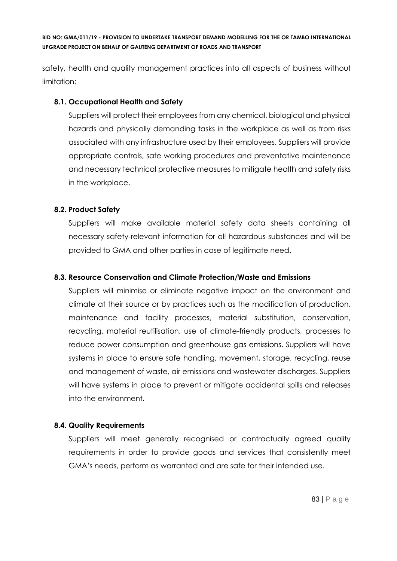safety, health and quality management practices into all aspects of business without limitation:

# **8.1. Occupational Health and Safety**

Suppliers will protect their employees from any chemical, biological and physical hazards and physically demanding tasks in the workplace as well as from risks associated with any infrastructure used by their employees. Suppliers will provide appropriate controls, safe working procedures and preventative maintenance and necessary technical protective measures to mitigate health and safety risks in the workplace.

# **8.2. Product Safety**

Suppliers will make available material safety data sheets containing all necessary safety-relevant information for all hazardous substances and will be provided to GMA and other parties in case of legitimate need.

# **8.3. Resource Conservation and Climate Protection/Waste and Emissions**

Suppliers will minimise or eliminate negative impact on the environment and climate at their source or by practices such as the modification of production, maintenance and facility processes, material substitution, conservation, recycling, material reutilisation, use of climate-friendly products, processes to reduce power consumption and greenhouse gas emissions. Suppliers will have systems in place to ensure safe handling, movement, storage, recycling, reuse and management of waste, air emissions and wastewater discharges. Suppliers will have systems in place to prevent or mitigate accidental spills and releases into the environment.

# **8.4. Quality Requirements**

Suppliers will meet generally recognised or contractually agreed quality requirements in order to provide goods and services that consistently meet GMA's needs, perform as warranted and are safe for their intended use.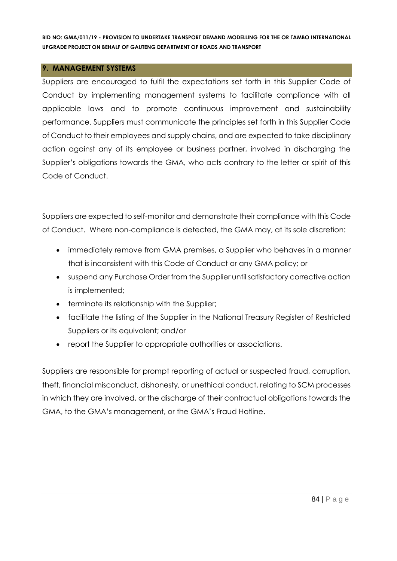#### **9. MANAGEMENT SYSTEMS**

Suppliers are encouraged to fulfil the expectations set forth in this Supplier Code of Conduct by implementing management systems to facilitate compliance with all applicable laws and to promote continuous improvement and sustainability performance. Suppliers must communicate the principles set forth in this Supplier Code of Conduct to their employees and supply chains, and are expected to take disciplinary action against any of its employee or business partner, involved in discharging the Supplier's obligations towards the GMA, who acts contrary to the letter or spirit of this Code of Conduct.

Suppliers are expected to self-monitor and demonstrate their compliance with this Code of Conduct. Where non-compliance is detected, the GMA may, at its sole discretion:

- immediately remove from GMA premises, a Supplier who behaves in a manner that is inconsistent with this Code of Conduct or any GMA policy; or
- suspend any Purchase Order from the Supplier until satisfactory corrective action is implemented;
- terminate its relationship with the Supplier;
- facilitate the listing of the Supplier in the National Treasury Register of Restricted Suppliers or its equivalent; and/or
- report the Supplier to appropriate authorities or associations.

Suppliers are responsible for prompt reporting of actual or suspected fraud, corruption, theft, financial misconduct, dishonesty, or unethical conduct, relating to SCM processes in which they are involved, or the discharge of their contractual obligations towards the GMA, to the GMA's management, or the GMA's Fraud Hotline.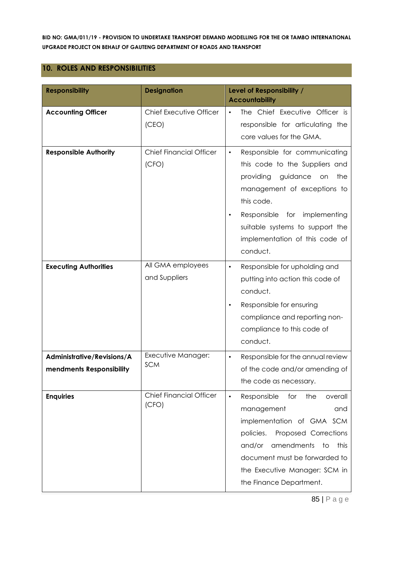#### **10. ROLES AND RESPONSIBILITIES**

| <b>Responsibility</b>                                  | <b>Designation</b>                      | Level of Responsibility /<br><b>Accountability</b>                                                                                                                                                                                                                                            |
|--------------------------------------------------------|-----------------------------------------|-----------------------------------------------------------------------------------------------------------------------------------------------------------------------------------------------------------------------------------------------------------------------------------------------|
| <b>Accounting Officer</b>                              | Chief Executive Officer<br>(CEO)        | The Chief Executive Officer is<br>$\bullet$<br>responsible for articulating the<br>core values for the GMA.                                                                                                                                                                                   |
| <b>Responsible Authority</b>                           | <b>Chief Financial Officer</b><br>(CFO) | Responsible for communicating<br>$\bullet$<br>this code to the Suppliers and<br>providing<br>guidance<br>the<br>on<br>management of exceptions to<br>this code.<br>Responsible for implementing<br>$\bullet$<br>suitable systems to support the<br>implementation of this code of<br>conduct. |
| <b>Executing Authorities</b>                           | All GMA employees<br>and Suppliers      | Responsible for upholding and<br>$\bullet$<br>putting into action this code of<br>conduct.<br>Responsible for ensuring<br>compliance and reporting non-<br>compliance to this code of<br>conduct.                                                                                             |
| Administrative/Revisions/A<br>mendments Responsibility | Executive Manager:<br><b>SCM</b>        | Responsible for the annual review<br>$\bullet$<br>of the code and/or amending of<br>the code as necessary.                                                                                                                                                                                    |
| <b>Enquiries</b>                                       | <b>Chief Financial Officer</b><br>(CFO) | Responsible<br>the<br>for<br>overall<br>$\bullet$<br>management<br>and<br>implementation of GMA SCM<br>policies.<br>Proposed Corrections<br>this<br>and/or<br>amendments<br>to<br>document must be forwarded to<br>the Executive Manager: SCM in<br>the Finance Department.                   |